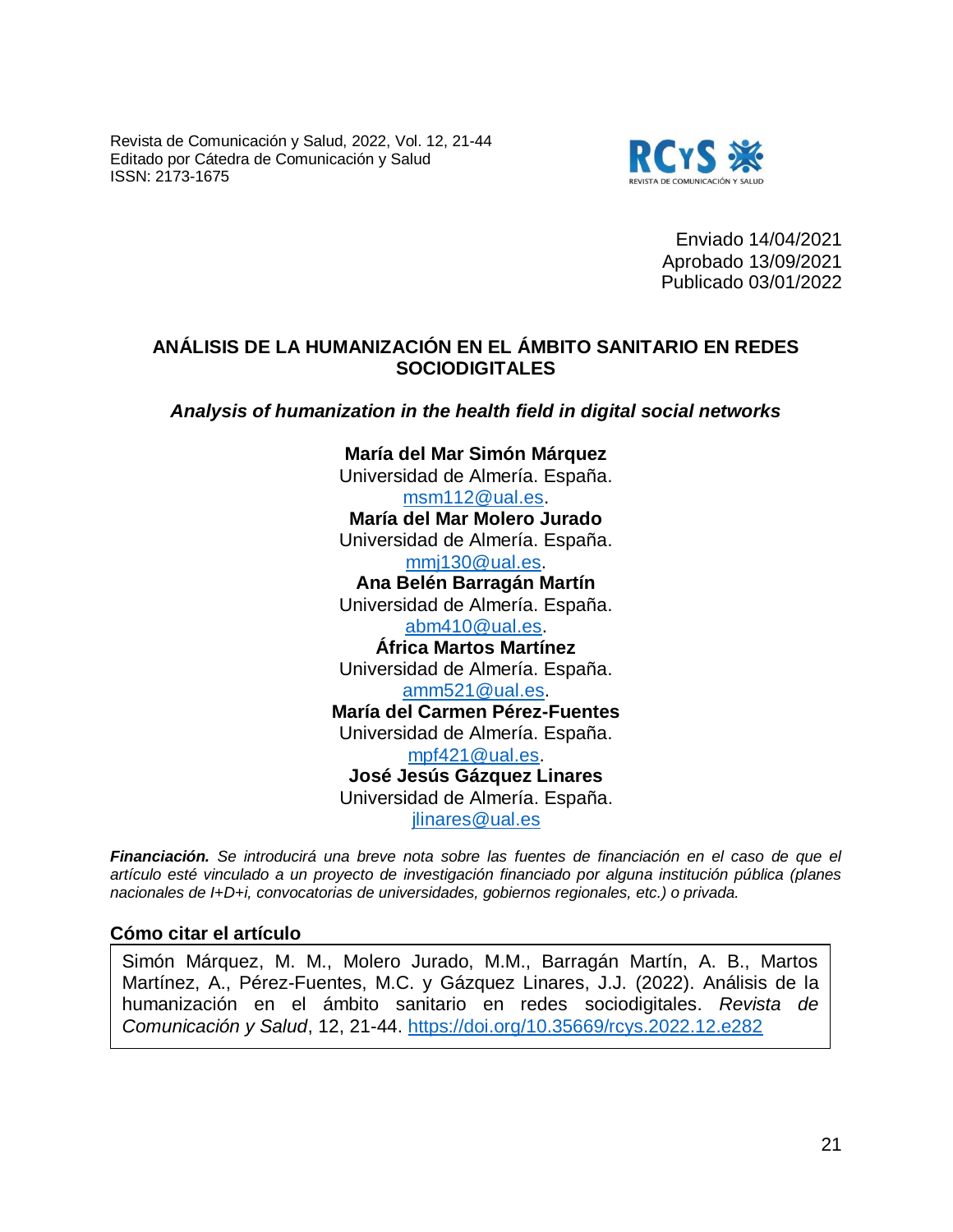Revista de Comunicación y Salud, 2022, Vol. 12, 21-44 Editado por Cátedra de Comunicación y Salud ISSN: 2173-1675



Enviado 14/04/2021 Aprobado 13/09/2021 Publicado 03/01/2022

## **ANÁLISIS DE LA HUMANIZACIÓN EN EL ÁMBITO SANITARIO EN REDES SOCIODIGITALES**

*Analysis of humanization in the health field in digital social networks* 

**María del Mar Simón Márquez** Universidad de Almería. España. [msm112@ual.es.](mailto:msm112@ual.es) **María del Mar Molero Jurado** Universidad de Almería. España. [mmj130@ual.es.](mailto:mmj130@ual.es) **Ana Belén Barragán Martín** Universidad de Almería. España. [abm410@ual.es.](mailto:abm410@ual.es) **África Martos Martínez** Universidad de Almería. España. [amm521@ual.es.](mailto:amm521@ual.es) **María del Carmen Pérez-Fuentes** Universidad de Almería. España. [mpf421@ual.es.](mailto:mpf421@ual.es) **José Jesús Gázquez Linares** Universidad de Almería. España. [jlinares@ual.es](mailto:jlinares@ual.es)

*Financiación. Se introducirá una breve nota sobre las fuentes de financiación en el caso de que el artículo esté vinculado a un proyecto de investigación financiado por alguna institución pública (planes nacionales de I+D+i, convocatorias de universidades, gobiernos regionales, etc.) o privada.* 

#### **Cómo citar el artículo**

Simón Márquez, M. M., Molero Jurado, M.M., Barragán Martín, A. B., Martos Martínez, A., Pérez-Fuentes, M.C. y Gázquez Linares, J.J. (2022). Análisis de la humanización en el ámbito sanitario en redes sociodigitales. *Revista de Comunicación y Salud*, 12, 21-44.<https://doi.org/10.35669/rcys.2022.12.e282>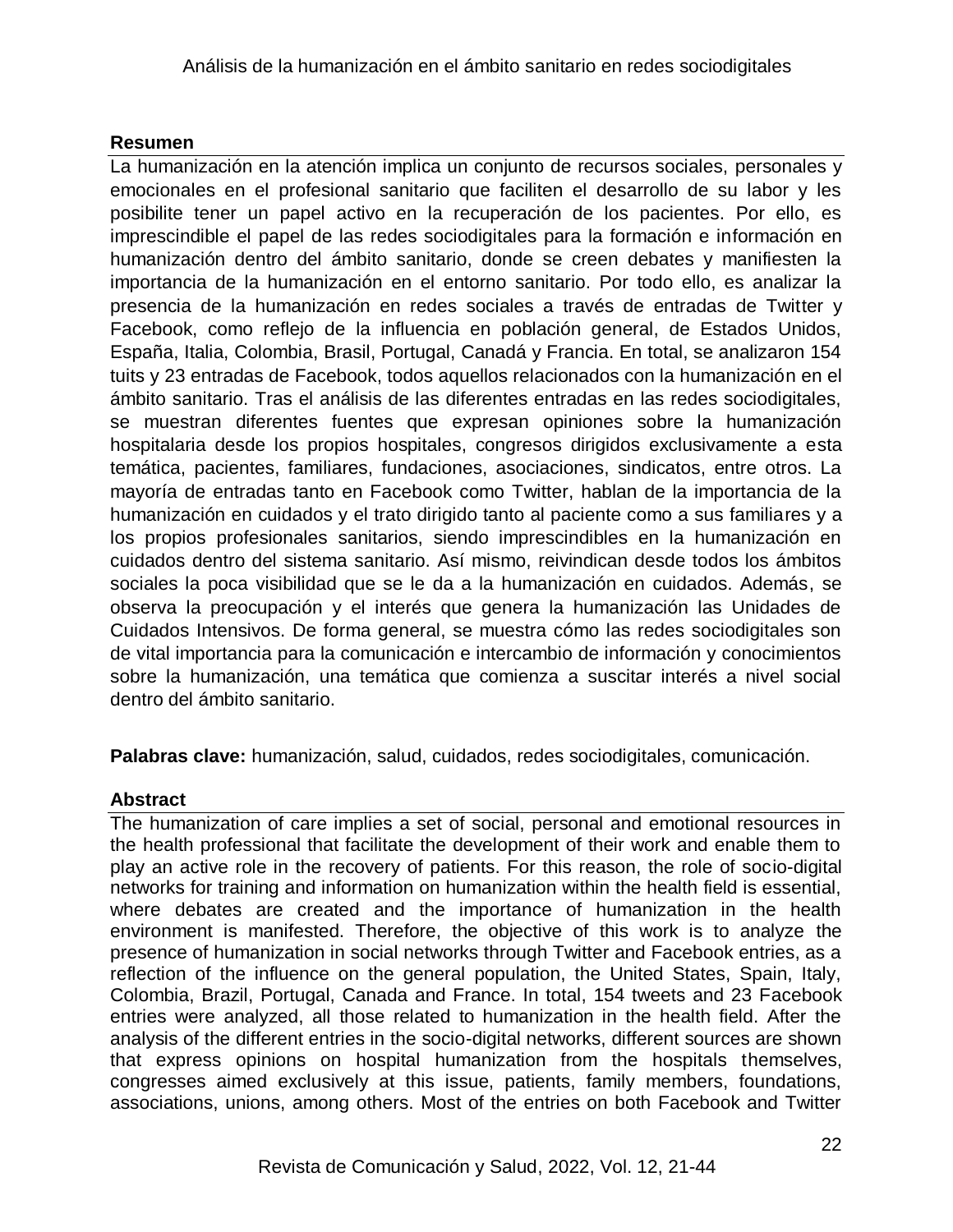# **Resumen**

La humanización en la atención implica un conjunto de recursos sociales, personales y emocionales en el profesional sanitario que faciliten el desarrollo de su labor y les posibilite tener un papel activo en la recuperación de los pacientes. Por ello, es imprescindible el papel de las redes sociodigitales para la formación e información en humanización dentro del ámbito sanitario, donde se creen debates y manifiesten la importancia de la humanización en el entorno sanitario. Por todo ello, es analizar la presencia de la humanización en redes sociales a través de entradas de Twitter y Facebook, como reflejo de la influencia en población general, de Estados Unidos, España, Italia, Colombia, Brasil, Portugal, Canadá y Francia. En total, se analizaron 154 tuits y 23 entradas de Facebook, todos aquellos relacionados con la humanización en el ámbito sanitario. Tras el análisis de las diferentes entradas en las redes sociodigitales, se muestran diferentes fuentes que expresan opiniones sobre la humanización hospitalaria desde los propios hospitales, congresos dirigidos exclusivamente a esta temática, pacientes, familiares, fundaciones, asociaciones, sindicatos, entre otros. La mayoría de entradas tanto en Facebook como Twitter, hablan de la importancia de la humanización en cuidados y el trato dirigido tanto al paciente como a sus familiares y a los propios profesionales sanitarios, siendo imprescindibles en la humanización en cuidados dentro del sistema sanitario. Así mismo, reivindican desde todos los ámbitos sociales la poca visibilidad que se le da a la humanización en cuidados. Además, se observa la preocupación y el interés que genera la humanización las Unidades de Cuidados Intensivos. De forma general, se muestra cómo las redes sociodigitales son de vital importancia para la comunicación e intercambio de información y conocimientos sobre la humanización, una temática que comienza a suscitar interés a nivel social dentro del ámbito sanitario.

**Palabras clave:** humanización, salud, cuidados, redes sociodigitales, comunicación.

# **Abstract**

The humanization of care implies a set of social, personal and emotional resources in the health professional that facilitate the development of their work and enable them to play an active role in the recovery of patients. For this reason, the role of socio-digital networks for training and information on humanization within the health field is essential, where debates are created and the importance of humanization in the health environment is manifested. Therefore, the objective of this work is to analyze the presence of humanization in social networks through Twitter and Facebook entries, as a reflection of the influence on the general population, the United States, Spain, Italy, Colombia, Brazil, Portugal, Canada and France. In total, 154 tweets and 23 Facebook entries were analyzed, all those related to humanization in the health field. After the analysis of the different entries in the socio-digital networks, different sources are shown that express opinions on hospital humanization from the hospitals themselves, congresses aimed exclusively at this issue, patients, family members, foundations, associations, unions, among others. Most of the entries on both Facebook and Twitter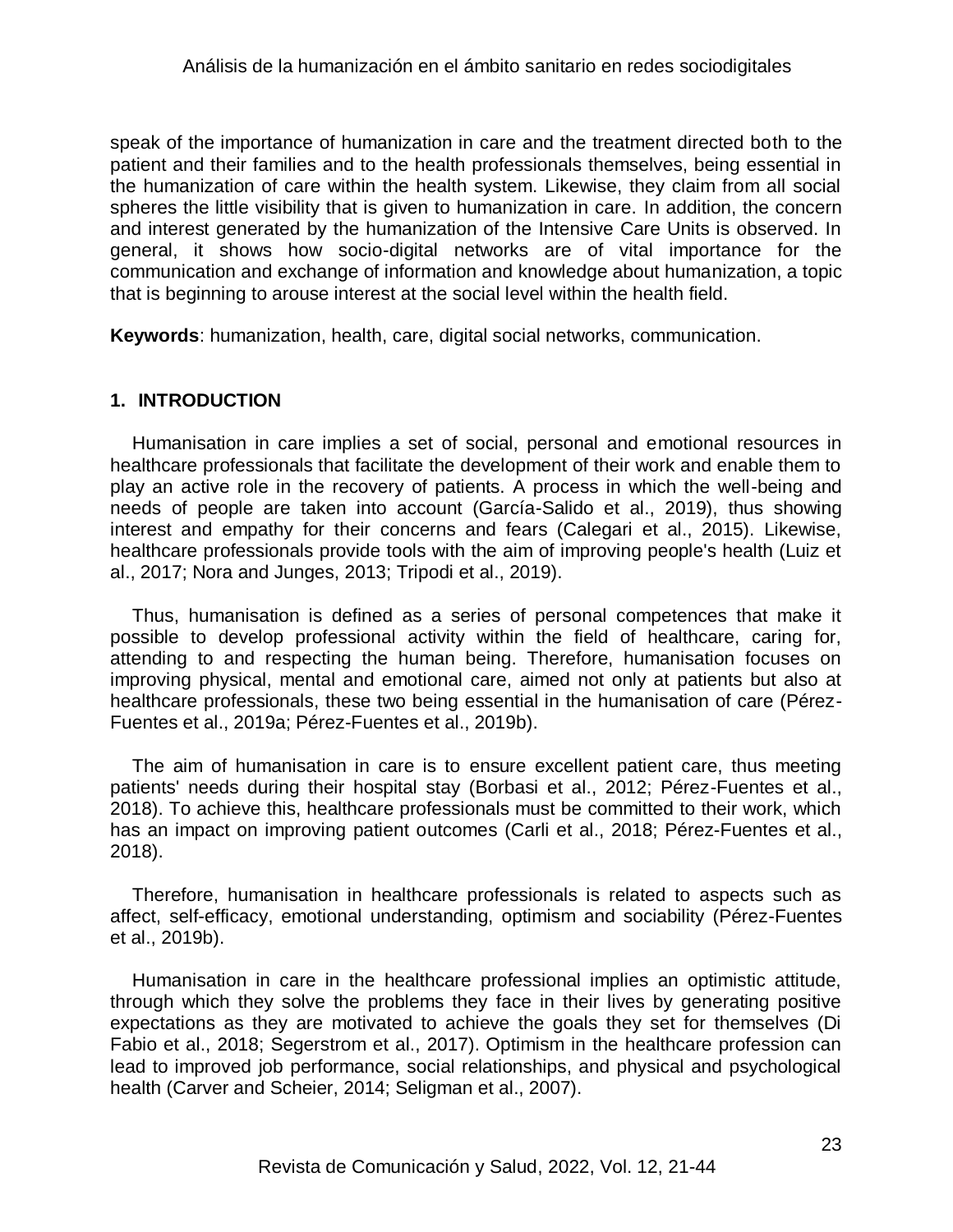speak of the importance of humanization in care and the treatment directed both to the patient and their families and to the health professionals themselves, being essential in the humanization of care within the health system. Likewise, they claim from all social spheres the little visibility that is given to humanization in care. In addition, the concern and interest generated by the humanization of the Intensive Care Units is observed. In general, it shows how socio-digital networks are of vital importance for the communication and exchange of information and knowledge about humanization, a topic that is beginning to arouse interest at the social level within the health field.

**Keywords**: humanization, health, care, digital social networks, communication.

## **1. INTRODUCTION**

Humanisation in care implies a set of social, personal and emotional resources in healthcare professionals that facilitate the development of their work and enable them to play an active role in the recovery of patients. A process in which the well-being and needs of people are taken into account (García-Salido et al., 2019), thus showing interest and empathy for their concerns and fears (Calegari et al., 2015). Likewise, healthcare professionals provide tools with the aim of improving people's health (Luiz et al., 2017; Nora and Junges, 2013; Tripodi et al., 2019).

Thus, humanisation is defined as a series of personal competences that make it possible to develop professional activity within the field of healthcare, caring for, attending to and respecting the human being. Therefore, humanisation focuses on improving physical, mental and emotional care, aimed not only at patients but also at healthcare professionals, these two being essential in the humanisation of care (Pérez-Fuentes et al., 2019a; Pérez-Fuentes et al., 2019b).

The aim of humanisation in care is to ensure excellent patient care, thus meeting patients' needs during their hospital stay (Borbasi et al., 2012; Pérez-Fuentes et al., 2018). To achieve this, healthcare professionals must be committed to their work, which has an impact on improving patient outcomes (Carli et al., 2018; Pérez-Fuentes et al., 2018).

Therefore, humanisation in healthcare professionals is related to aspects such as affect, self-efficacy, emotional understanding, optimism and sociability (Pérez-Fuentes et al., 2019b).

Humanisation in care in the healthcare professional implies an optimistic attitude, through which they solve the problems they face in their lives by generating positive expectations as they are motivated to achieve the goals they set for themselves (Di Fabio et al., 2018; Segerstrom et al., 2017). Optimism in the healthcare profession can lead to improved job performance, social relationships, and physical and psychological health (Carver and Scheier, 2014; Seligman et al., 2007).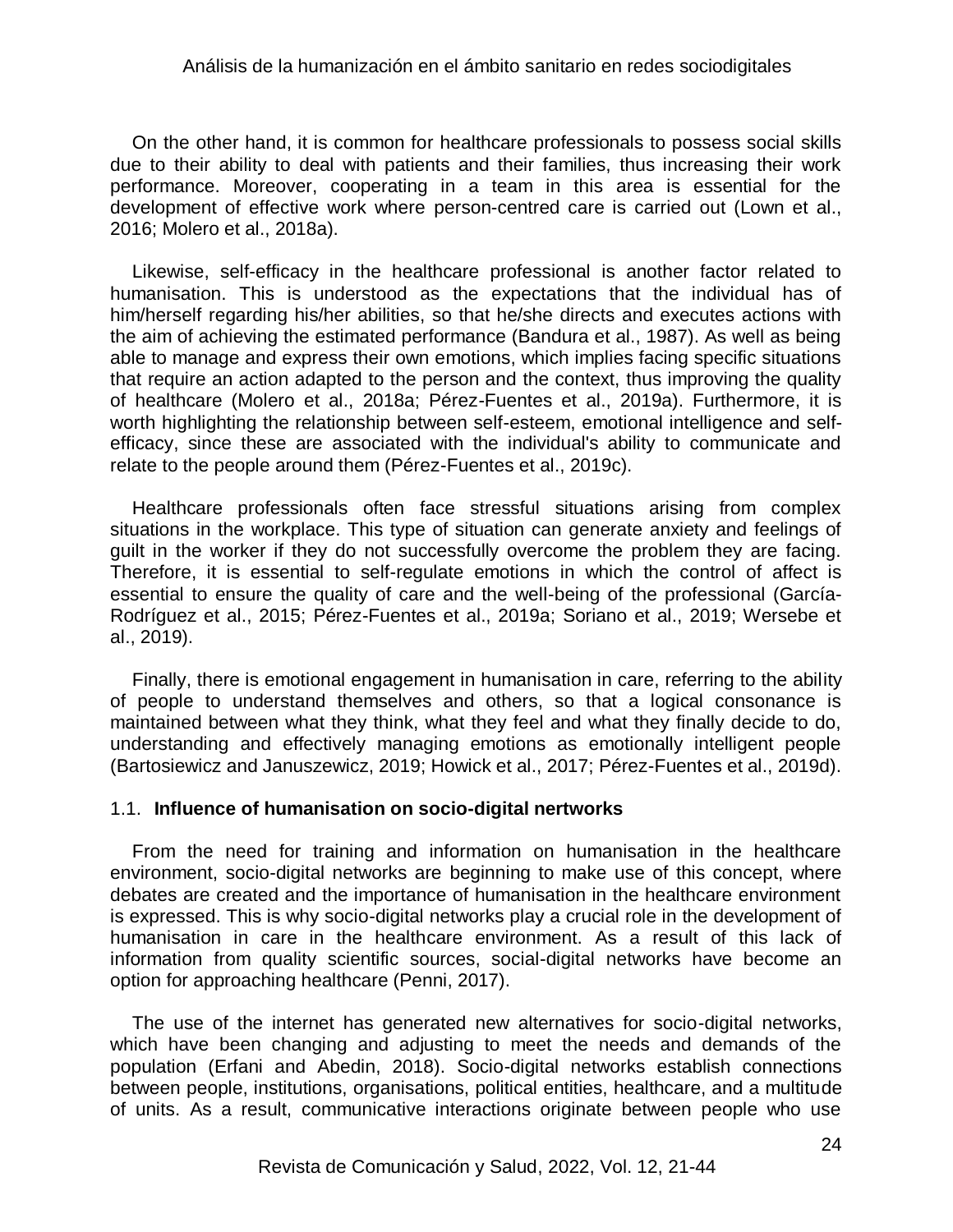On the other hand, it is common for healthcare professionals to possess social skills due to their ability to deal with patients and their families, thus increasing their work performance. Moreover, cooperating in a team in this area is essential for the development of effective work where person-centred care is carried out (Lown et al., 2016; Molero et al., 2018a).

Likewise, self-efficacy in the healthcare professional is another factor related to humanisation. This is understood as the expectations that the individual has of him/herself regarding his/her abilities, so that he/she directs and executes actions with the aim of achieving the estimated performance (Bandura et al., 1987). As well as being able to manage and express their own emotions, which implies facing specific situations that require an action adapted to the person and the context, thus improving the quality of healthcare (Molero et al., 2018a; Pérez-Fuentes et al., 2019a). Furthermore, it is worth highlighting the relationship between self-esteem, emotional intelligence and selfefficacy, since these are associated with the individual's ability to communicate and relate to the people around them (Pérez-Fuentes et al., 2019c).

Healthcare professionals often face stressful situations arising from complex situations in the workplace. This type of situation can generate anxiety and feelings of guilt in the worker if they do not successfully overcome the problem they are facing. Therefore, it is essential to self-regulate emotions in which the control of affect is essential to ensure the quality of care and the well-being of the professional (García-Rodríguez et al., 2015; Pérez-Fuentes et al., 2019a; Soriano et al., 2019; Wersebe et al., 2019).

Finally, there is emotional engagement in humanisation in care, referring to the ability of people to understand themselves and others, so that a logical consonance is maintained between what they think, what they feel and what they finally decide to do, understanding and effectively managing emotions as emotionally intelligent people (Bartosiewicz and Januszewicz, 2019; Howick et al., 2017; Pérez-Fuentes et al., 2019d).

### 1.1. **Influence of humanisation on socio-digital nertworks**

From the need for training and information on humanisation in the healthcare environment, socio-digital networks are beginning to make use of this concept, where debates are created and the importance of humanisation in the healthcare environment is expressed. This is why socio-digital networks play a crucial role in the development of humanisation in care in the healthcare environment. As a result of this lack of information from quality scientific sources, social-digital networks have become an option for approaching healthcare (Penni, 2017).

The use of the internet has generated new alternatives for socio-digital networks, which have been changing and adjusting to meet the needs and demands of the population (Erfani and Abedin, 2018). Socio-digital networks establish connections between people, institutions, organisations, political entities, healthcare, and a multitude of units. As a result, communicative interactions originate between people who use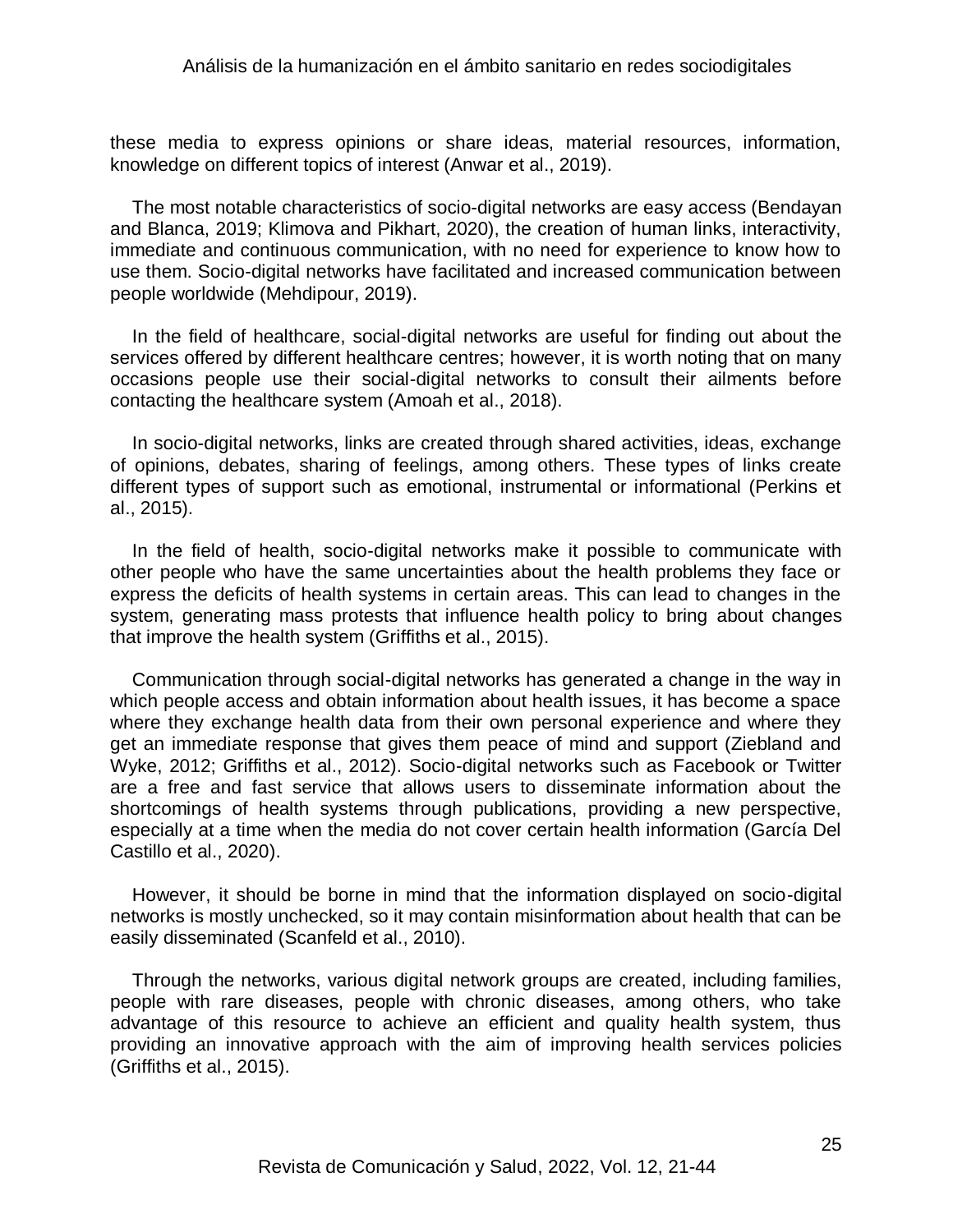these media to express opinions or share ideas, material resources, information, knowledge on different topics of interest (Anwar et al., 2019).

The most notable characteristics of socio-digital networks are easy access (Bendayan and Blanca, 2019; Klimova and Pikhart, 2020), the creation of human links, interactivity, immediate and continuous communication, with no need for experience to know how to use them. Socio-digital networks have facilitated and increased communication between people worldwide (Mehdipour, 2019).

In the field of healthcare, social-digital networks are useful for finding out about the services offered by different healthcare centres; however, it is worth noting that on many occasions people use their social-digital networks to consult their ailments before contacting the healthcare system (Amoah et al., 2018).

In socio-digital networks, links are created through shared activities, ideas, exchange of opinions, debates, sharing of feelings, among others. These types of links create different types of support such as emotional, instrumental or informational (Perkins et al., 2015).

In the field of health, socio-digital networks make it possible to communicate with other people who have the same uncertainties about the health problems they face or express the deficits of health systems in certain areas. This can lead to changes in the system, generating mass protests that influence health policy to bring about changes that improve the health system (Griffiths et al., 2015).

Communication through social-digital networks has generated a change in the way in which people access and obtain information about health issues, it has become a space where they exchange health data from their own personal experience and where they get an immediate response that gives them peace of mind and support (Ziebland and Wyke, 2012; Griffiths et al., 2012). Socio-digital networks such as Facebook or Twitter are a free and fast service that allows users to disseminate information about the shortcomings of health systems through publications, providing a new perspective, especially at a time when the media do not cover certain health information (García Del Castillo et al., 2020).

However, it should be borne in mind that the information displayed on socio-digital networks is mostly unchecked, so it may contain misinformation about health that can be easily disseminated (Scanfeld et al., 2010).

Through the networks, various digital network groups are created, including families, people with rare diseases, people with chronic diseases, among others, who take advantage of this resource to achieve an efficient and quality health system, thus providing an innovative approach with the aim of improving health services policies (Griffiths et al., 2015).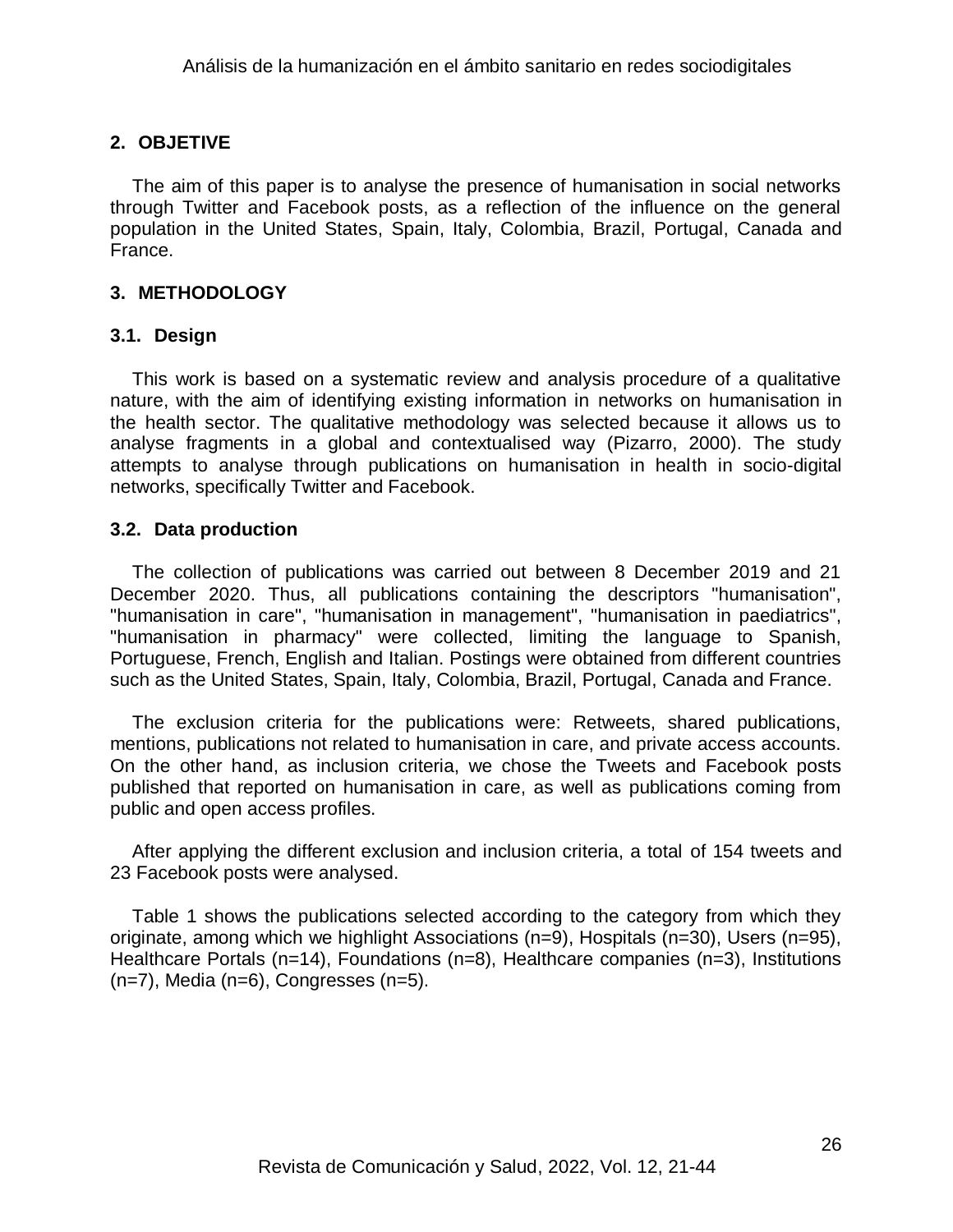## **2. OBJETIVE**

The aim of this paper is to analyse the presence of humanisation in social networks through Twitter and Facebook posts, as a reflection of the influence on the general population in the United States, Spain, Italy, Colombia, Brazil, Portugal, Canada and France.

### **3. METHODOLOGY**

### **3.1. Design**

This work is based on a systematic review and analysis procedure of a qualitative nature, with the aim of identifying existing information in networks on humanisation in the health sector. The qualitative methodology was selected because it allows us to analyse fragments in a global and contextualised way (Pizarro, 2000). The study attempts to analyse through publications on humanisation in health in socio-digital networks, specifically Twitter and Facebook.

#### **3.2. Data production**

The collection of publications was carried out between 8 December 2019 and 21 December 2020. Thus, all publications containing the descriptors "humanisation", "humanisation in care", "humanisation in management", "humanisation in paediatrics", "humanisation in pharmacy" were collected, limiting the language to Spanish, Portuguese, French, English and Italian. Postings were obtained from different countries such as the United States, Spain, Italy, Colombia, Brazil, Portugal, Canada and France.

The exclusion criteria for the publications were: Retweets, shared publications, mentions, publications not related to humanisation in care, and private access accounts. On the other hand, as inclusion criteria, we chose the Tweets and Facebook posts published that reported on humanisation in care, as well as publications coming from public and open access profiles.

After applying the different exclusion and inclusion criteria, a total of 154 tweets and 23 Facebook posts were analysed.

Table 1 shows the publications selected according to the category from which they originate, among which we highlight Associations (n=9), Hospitals (n=30), Users (n=95), Healthcare Portals (n=14), Foundations (n=8), Healthcare companies (n=3), Institutions (n=7), Media (n=6), Congresses (n=5).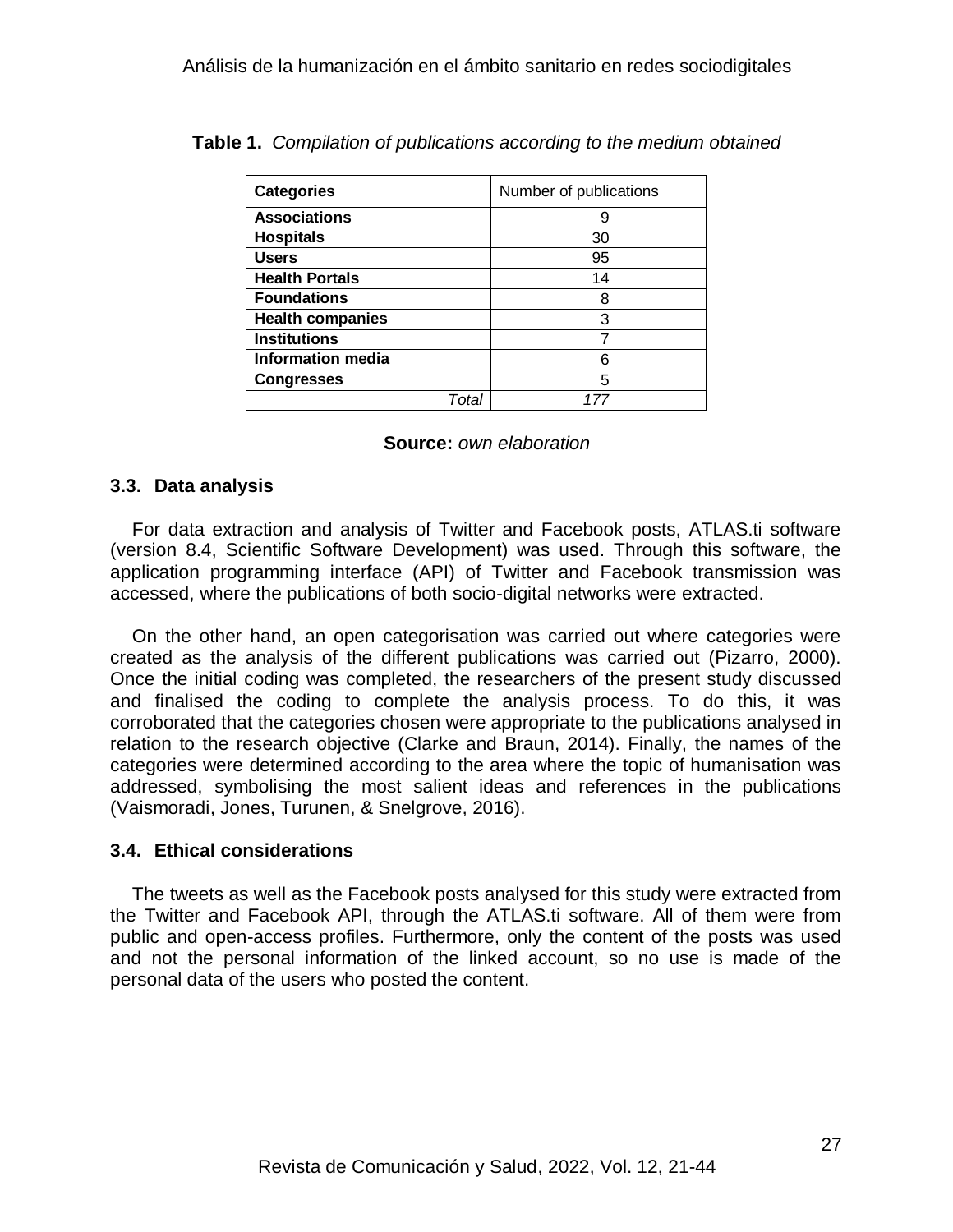| <b>Categories</b>        | Number of publications |
|--------------------------|------------------------|
| <b>Associations</b>      | 9                      |
| <b>Hospitals</b>         | 30                     |
| <b>Users</b>             | 95                     |
| <b>Health Portals</b>    | 14                     |
| <b>Foundations</b>       | 8                      |
| <b>Health companies</b>  | 3                      |
| <b>Institutions</b>      |                        |
| <b>Information media</b> | 6                      |
| <b>Congresses</b>        | 5                      |
| Tota                     |                        |

**Table 1.** *Compilation of publications according to the medium obtained*

|  | <b>Source:</b> own elaboration |
|--|--------------------------------|
|--|--------------------------------|

### **3.3. Data analysis**

For data extraction and analysis of Twitter and Facebook posts, ATLAS.ti software (version 8.4, Scientific Software Development) was used. Through this software, the application programming interface (API) of Twitter and Facebook transmission was accessed, where the publications of both socio-digital networks were extracted.

On the other hand, an open categorisation was carried out where categories were created as the analysis of the different publications was carried out (Pizarro, 2000). Once the initial coding was completed, the researchers of the present study discussed and finalised the coding to complete the analysis process. To do this, it was corroborated that the categories chosen were appropriate to the publications analysed in relation to the research objective (Clarke and Braun, 2014). Finally, the names of the categories were determined according to the area where the topic of humanisation was addressed, symbolising the most salient ideas and references in the publications (Vaismoradi, Jones, Turunen, & Snelgrove, 2016).

## **3.4. Ethical considerations**

The tweets as well as the Facebook posts analysed for this study were extracted from the Twitter and Facebook API, through the ATLAS.ti software. All of them were from public and open-access profiles. Furthermore, only the content of the posts was used and not the personal information of the linked account, so no use is made of the personal data of the users who posted the content.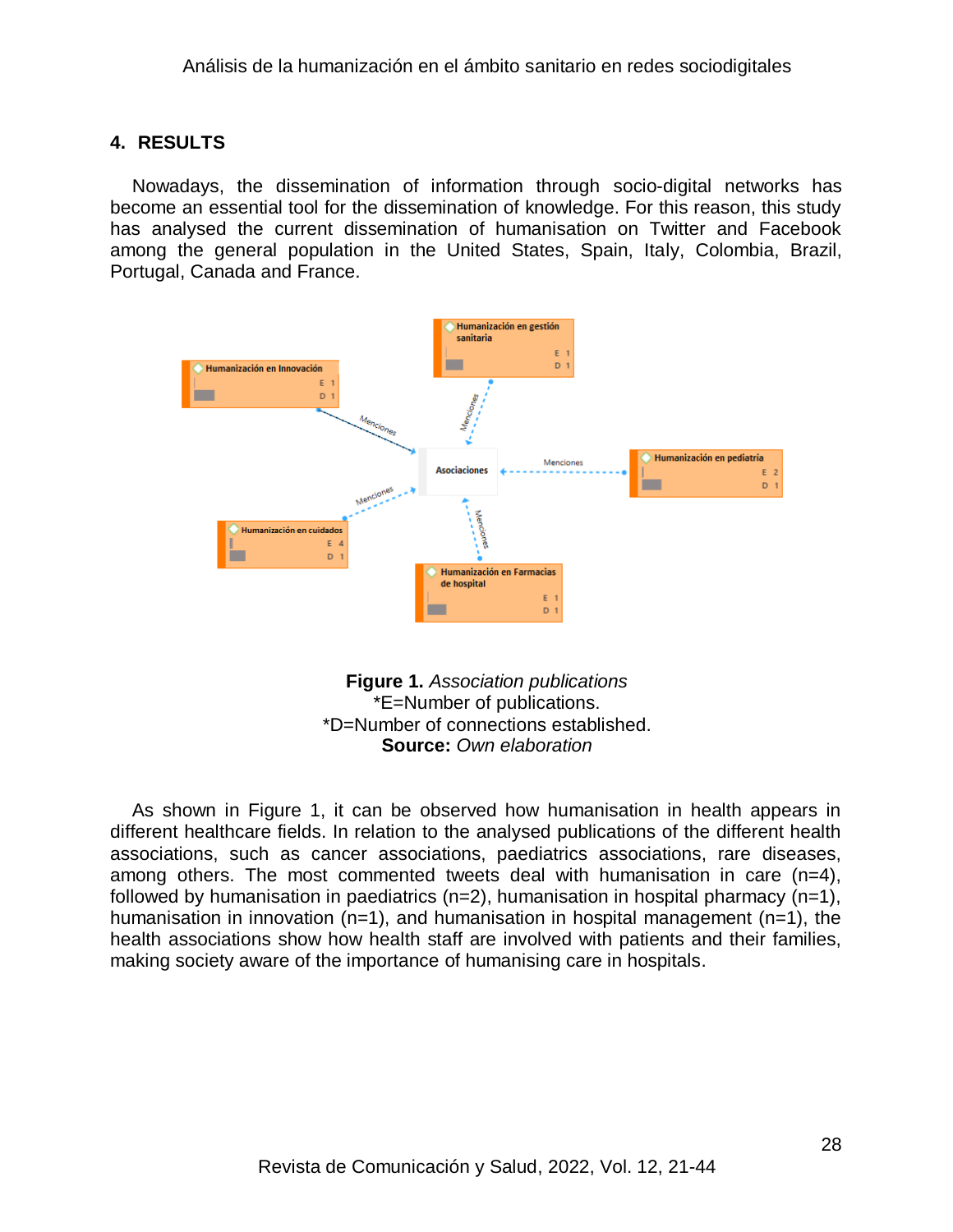## **4. RESULTS**

Nowadays, the dissemination of information through socio-digital networks has become an essential tool for the dissemination of knowledge. For this reason, this study has analysed the current dissemination of humanisation on Twitter and Facebook among the general population in the United States, Spain, Italy, Colombia, Brazil, Portugal, Canada and France.



**Figure 1.** *Association publications* \*E=Number of publications. \*D=Number of connections established. **Source:** *Own elaboration*

As shown in Figure 1, it can be observed how humanisation in health appears in different healthcare fields. In relation to the analysed publications of the different health associations, such as cancer associations, paediatrics associations, rare diseases, among others. The most commented tweets deal with humanisation in care (n=4), followed by humanisation in paediatrics ( $n=2$ ), humanisation in hospital pharmacy ( $n=1$ ), humanisation in innovation (n=1), and humanisation in hospital management (n=1), the health associations show how health staff are involved with patients and their families, making society aware of the importance of humanising care in hospitals.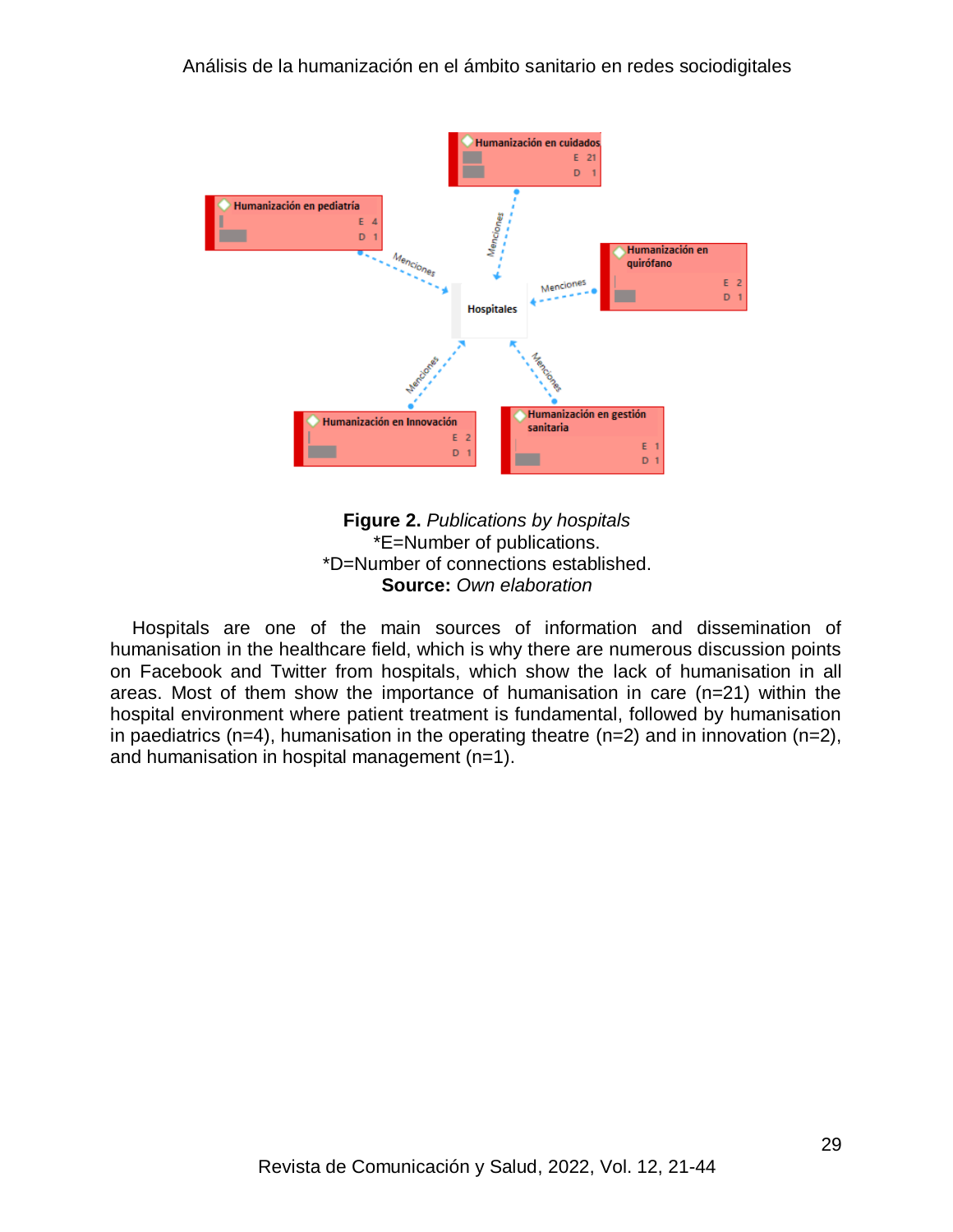

#### **Figure 2.** *Publications by hospitals* \*E=Number of publications. \*D=Number of connections established. **Source:** *Own elaboration*

Hospitals are one of the main sources of information and dissemination of humanisation in the healthcare field, which is why there are numerous discussion points on Facebook and Twitter from hospitals, which show the lack of humanisation in all areas. Most of them show the importance of humanisation in care (n=21) within the hospital environment where patient treatment is fundamental, followed by humanisation in paediatrics (n=4), humanisation in the operating theatre (n=2) and in innovation (n=2), and humanisation in hospital management (n=1).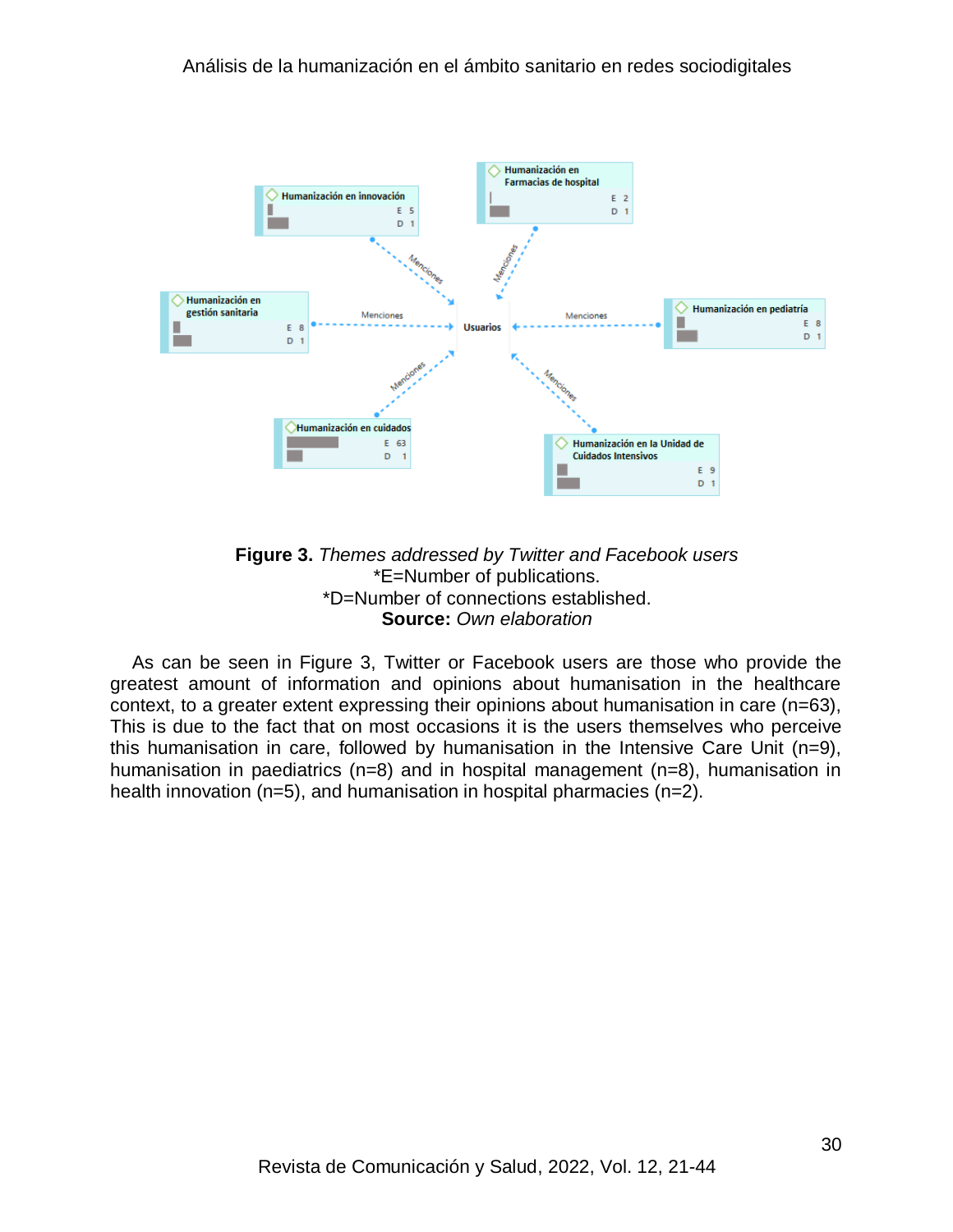

**Figure 3.** *Themes addressed by Twitter and Facebook users* \*E=Number of publications. \*D=Number of connections established. **Source:** *Own elaboration*

As can be seen in Figure 3, Twitter or Facebook users are those who provide the greatest amount of information and opinions about humanisation in the healthcare context, to a greater extent expressing their opinions about humanisation in care (n=63), This is due to the fact that on most occasions it is the users themselves who perceive this humanisation in care, followed by humanisation in the Intensive Care Unit (n=9), humanisation in paediatrics (n=8) and in hospital management (n=8), humanisation in health innovation (n=5), and humanisation in hospital pharmacies (n=2).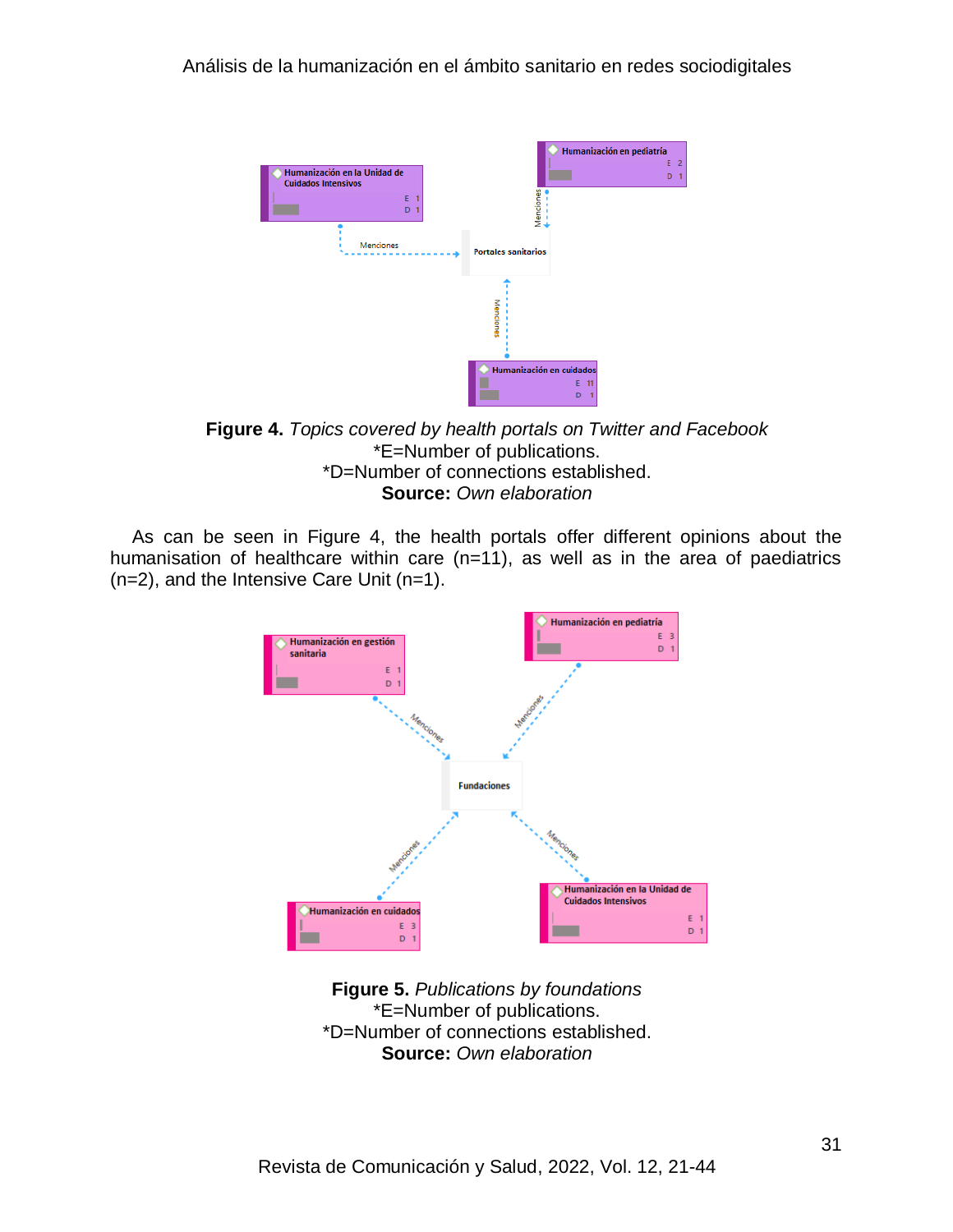

**Figure 4.** *Topics covered by health portals on Twitter and Facebook*  \*E=Number of publications. \*D=Number of connections established. **Source:** *Own elaboration*

As can be seen in Figure 4, the health portals offer different opinions about the humanisation of healthcare within care (n=11), as well as in the area of paediatrics (n=2), and the Intensive Care Unit (n=1).



**Figure 5.** *Publications by foundations* \*E=Number of publications. \*D=Number of connections established. **Source:** *Own elaboration*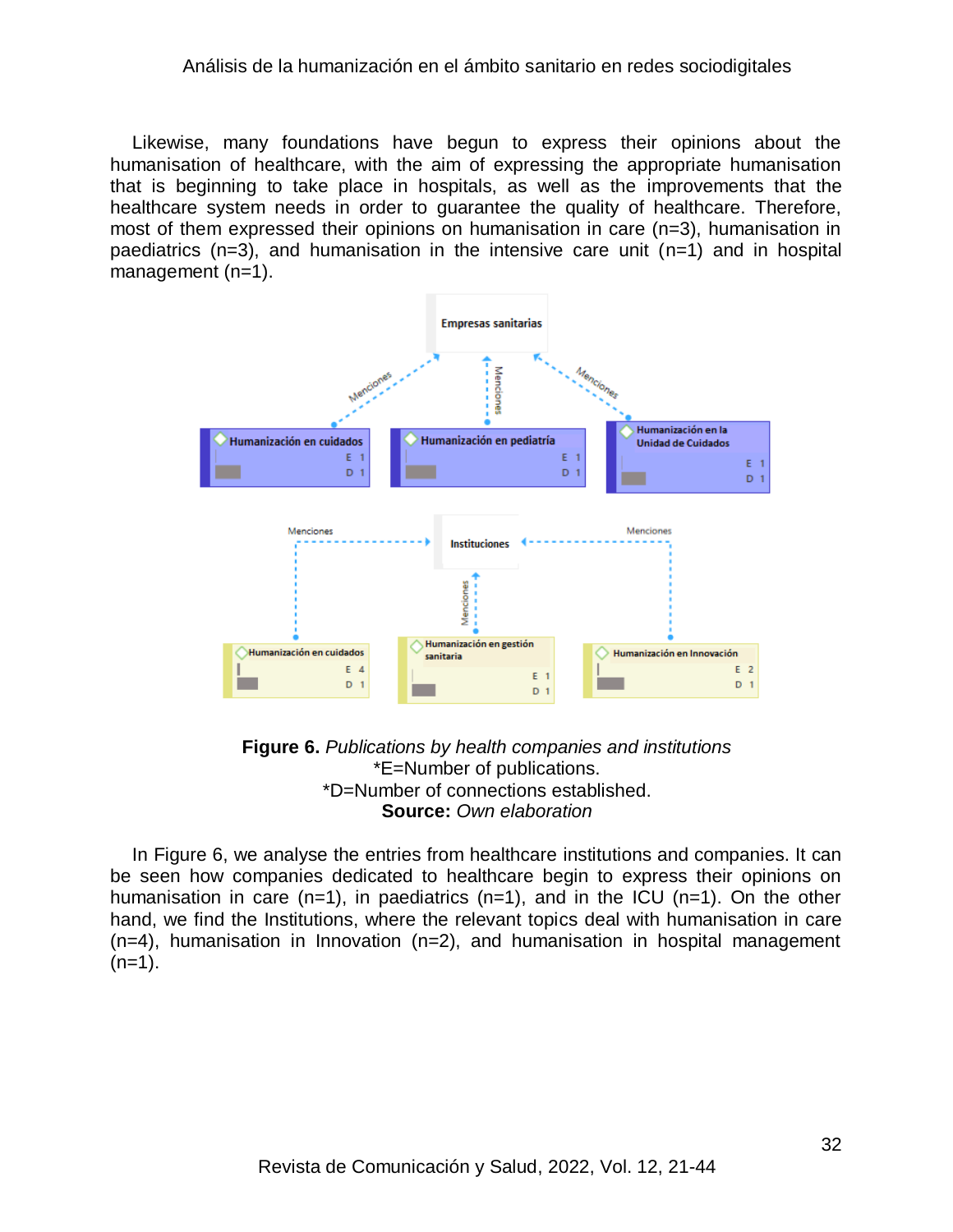Likewise, many foundations have begun to express their opinions about the humanisation of healthcare, with the aim of expressing the appropriate humanisation that is beginning to take place in hospitals, as well as the improvements that the healthcare system needs in order to guarantee the quality of healthcare. Therefore, most of them expressed their opinions on humanisation in care (n=3), humanisation in paediatrics (n=3), and humanisation in the intensive care unit (n=1) and in hospital management (n=1).



**Figure 6.** *Publications by health companies and institutions* \*E=Number of publications. \*D=Number of connections established. **Source:** *Own elaboration*

In Figure 6, we analyse the entries from healthcare institutions and companies. It can be seen how companies dedicated to healthcare begin to express their opinions on humanisation in care  $(n=1)$ , in paediatrics  $(n=1)$ , and in the ICU  $(n=1)$ . On the other hand, we find the Institutions, where the relevant topics deal with humanisation in care (n=4), humanisation in Innovation (n=2), and humanisation in hospital management  $(n=1)$ .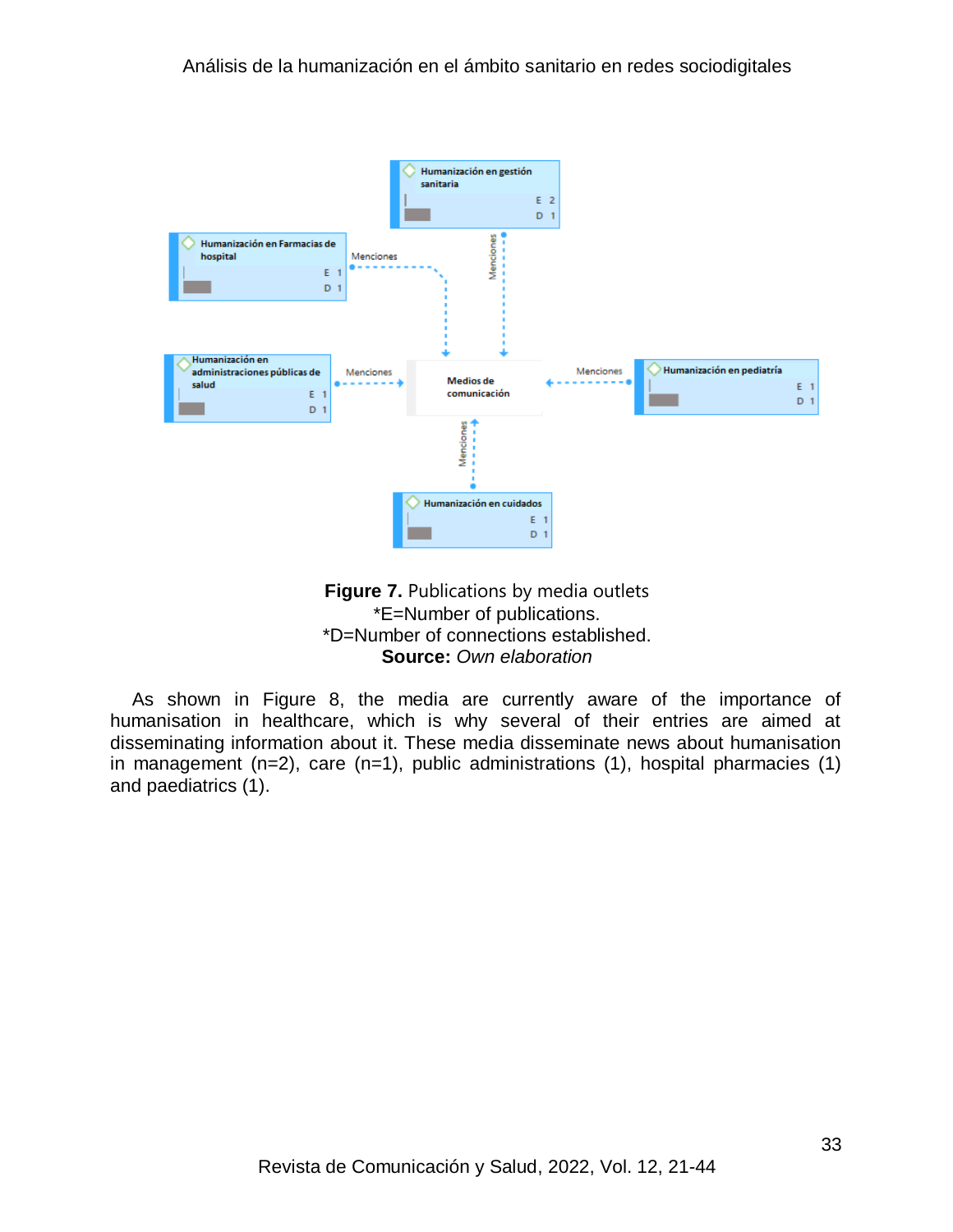



As shown in Figure 8, the media are currently aware of the importance of humanisation in healthcare, which is why several of their entries are aimed at disseminating information about it. These media disseminate news about humanisation in management  $(n=2)$ , care  $(n=1)$ , public administrations  $(1)$ , hospital pharmacies  $(1)$ and paediatrics (1).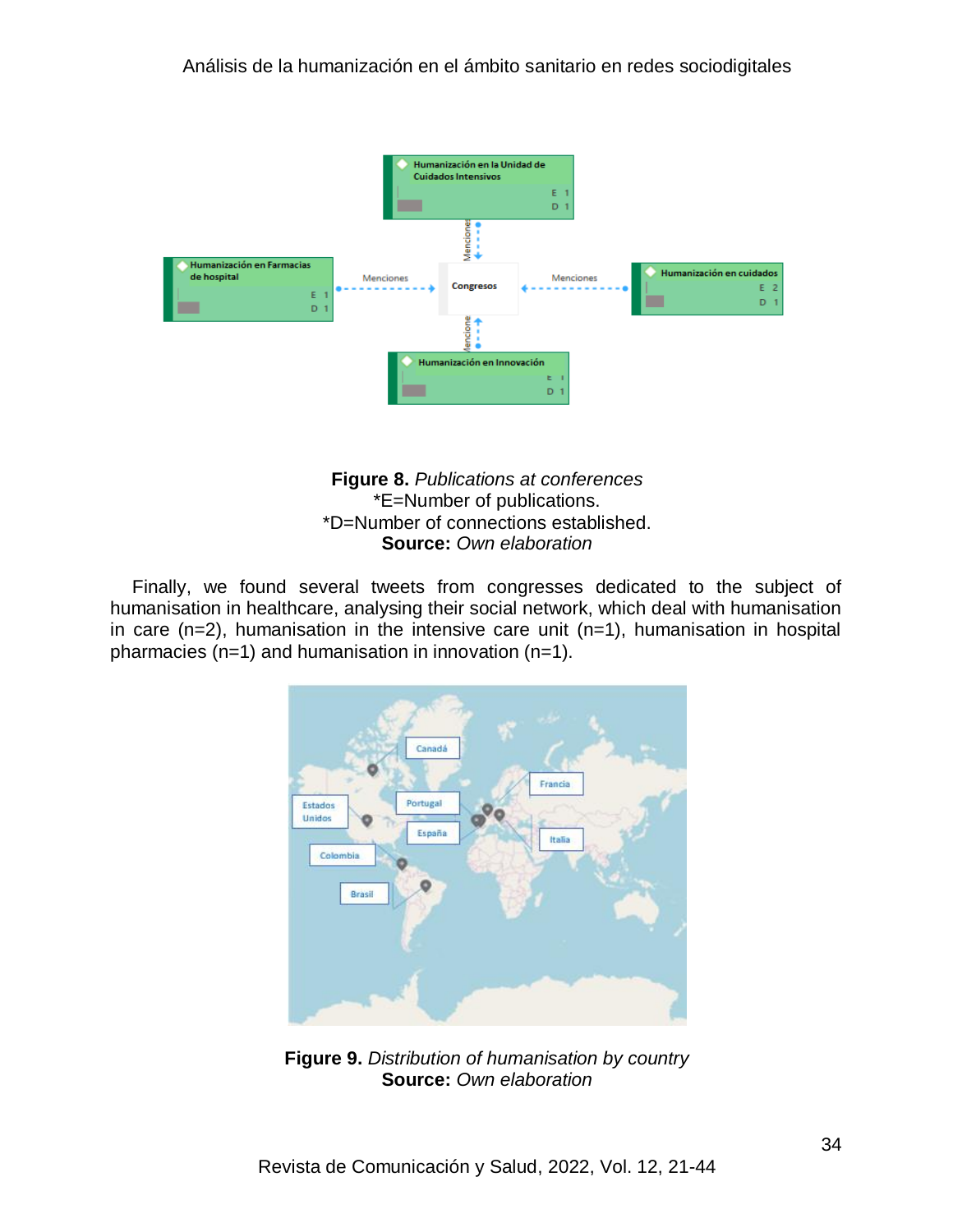



Finally, we found several tweets from congresses dedicated to the subject of humanisation in healthcare, analysing their social network, which deal with humanisation in care (n=2), humanisation in the intensive care unit (n=1), humanisation in hospital pharmacies (n=1) and humanisation in innovation (n=1).



**Figure 9.** *Distribution of humanisation by country* **Source:** *Own elaboration*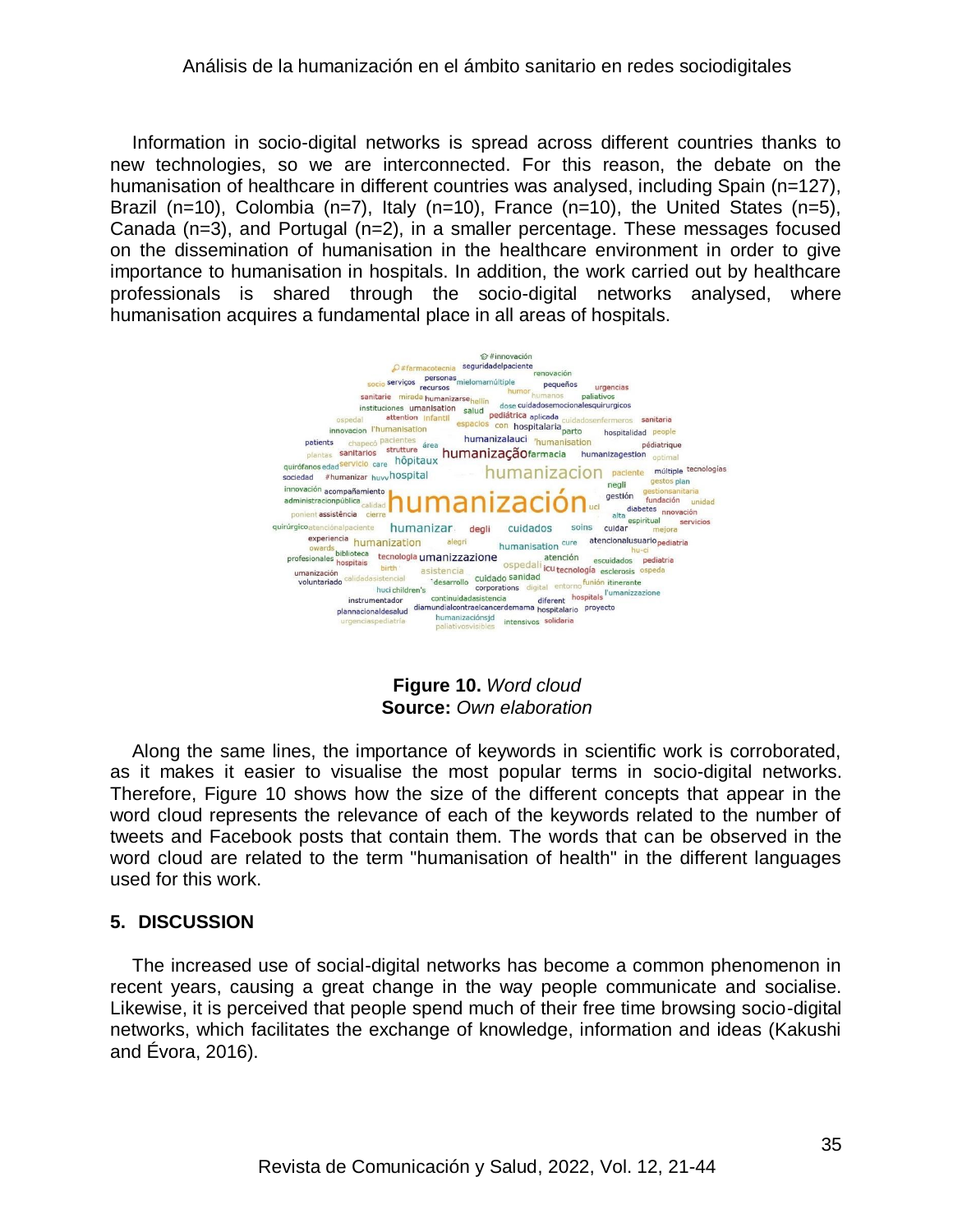Information in socio-digital networks is spread across different countries thanks to new technologies, so we are interconnected. For this reason, the debate on the humanisation of healthcare in different countries was analysed, including Spain (n=127), Brazil (n=10), Colombia (n=7), Italy (n=10), France (n=10), the United States (n=5), Canada (n=3), and Portugal (n=2), in a smaller percentage. These messages focused on the dissemination of humanisation in the healthcare environment in order to give importance to humanisation in hospitals. In addition, the work carried out by healthcare professionals is shared through the socio-digital networks analysed, where humanisation acquires a fundamental place in all areas of hospitals.



**Figure 10.** *Word cloud* **Source:** *Own elaboration*

Along the same lines, the importance of keywords in scientific work is corroborated, as it makes it easier to visualise the most popular terms in socio-digital networks. Therefore, Figure 10 shows how the size of the different concepts that appear in the word cloud represents the relevance of each of the keywords related to the number of tweets and Facebook posts that contain them. The words that can be observed in the word cloud are related to the term "humanisation of health" in the different languages used for this work.

## **5. DISCUSSION**

The increased use of social-digital networks has become a common phenomenon in recent years, causing a great change in the way people communicate and socialise. Likewise, it is perceived that people spend much of their free time browsing socio-digital networks, which facilitates the exchange of knowledge, information and ideas (Kakushi and Évora, 2016).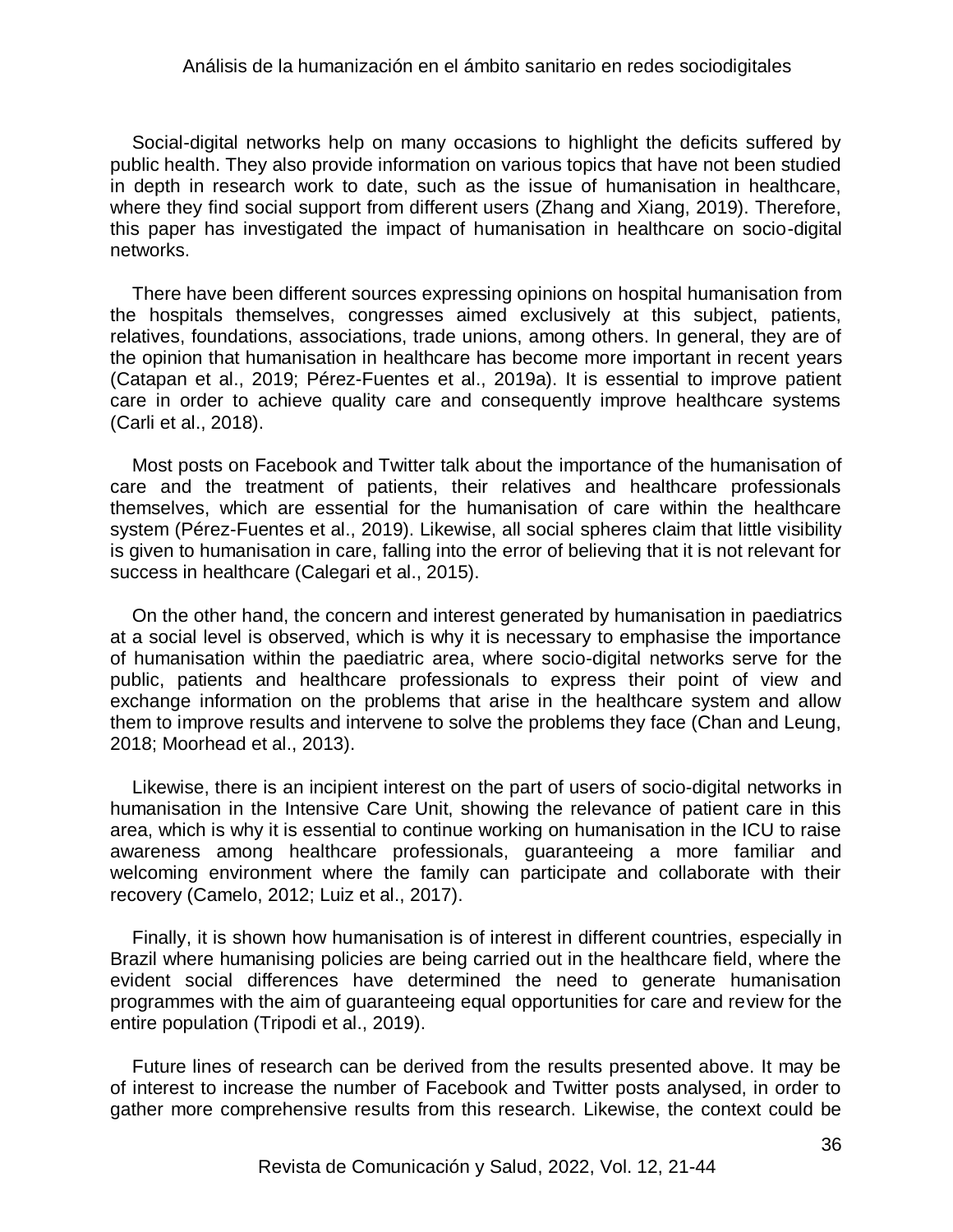Social-digital networks help on many occasions to highlight the deficits suffered by public health. They also provide information on various topics that have not been studied in depth in research work to date, such as the issue of humanisation in healthcare, where they find social support from different users (Zhang and Xiang, 2019). Therefore, this paper has investigated the impact of humanisation in healthcare on socio-digital networks.

There have been different sources expressing opinions on hospital humanisation from the hospitals themselves, congresses aimed exclusively at this subject, patients, relatives, foundations, associations, trade unions, among others. In general, they are of the opinion that humanisation in healthcare has become more important in recent years (Catapan et al., 2019; Pérez-Fuentes et al., 2019a). It is essential to improve patient care in order to achieve quality care and consequently improve healthcare systems (Carli et al., 2018).

Most posts on Facebook and Twitter talk about the importance of the humanisation of care and the treatment of patients, their relatives and healthcare professionals themselves, which are essential for the humanisation of care within the healthcare system (Pérez-Fuentes et al., 2019). Likewise, all social spheres claim that little visibility is given to humanisation in care, falling into the error of believing that it is not relevant for success in healthcare (Calegari et al., 2015).

On the other hand, the concern and interest generated by humanisation in paediatrics at a social level is observed, which is why it is necessary to emphasise the importance of humanisation within the paediatric area, where socio-digital networks serve for the public, patients and healthcare professionals to express their point of view and exchange information on the problems that arise in the healthcare system and allow them to improve results and intervene to solve the problems they face (Chan and Leung, 2018; Moorhead et al., 2013).

Likewise, there is an incipient interest on the part of users of socio-digital networks in humanisation in the Intensive Care Unit, showing the relevance of patient care in this area, which is why it is essential to continue working on humanisation in the ICU to raise awareness among healthcare professionals, guaranteeing a more familiar and welcoming environment where the family can participate and collaborate with their recovery (Camelo, 2012; Luiz et al., 2017).

Finally, it is shown how humanisation is of interest in different countries, especially in Brazil where humanising policies are being carried out in the healthcare field, where the evident social differences have determined the need to generate humanisation programmes with the aim of guaranteeing equal opportunities for care and review for the entire population (Tripodi et al., 2019).

Future lines of research can be derived from the results presented above. It may be of interest to increase the number of Facebook and Twitter posts analysed, in order to gather more comprehensive results from this research. Likewise, the context could be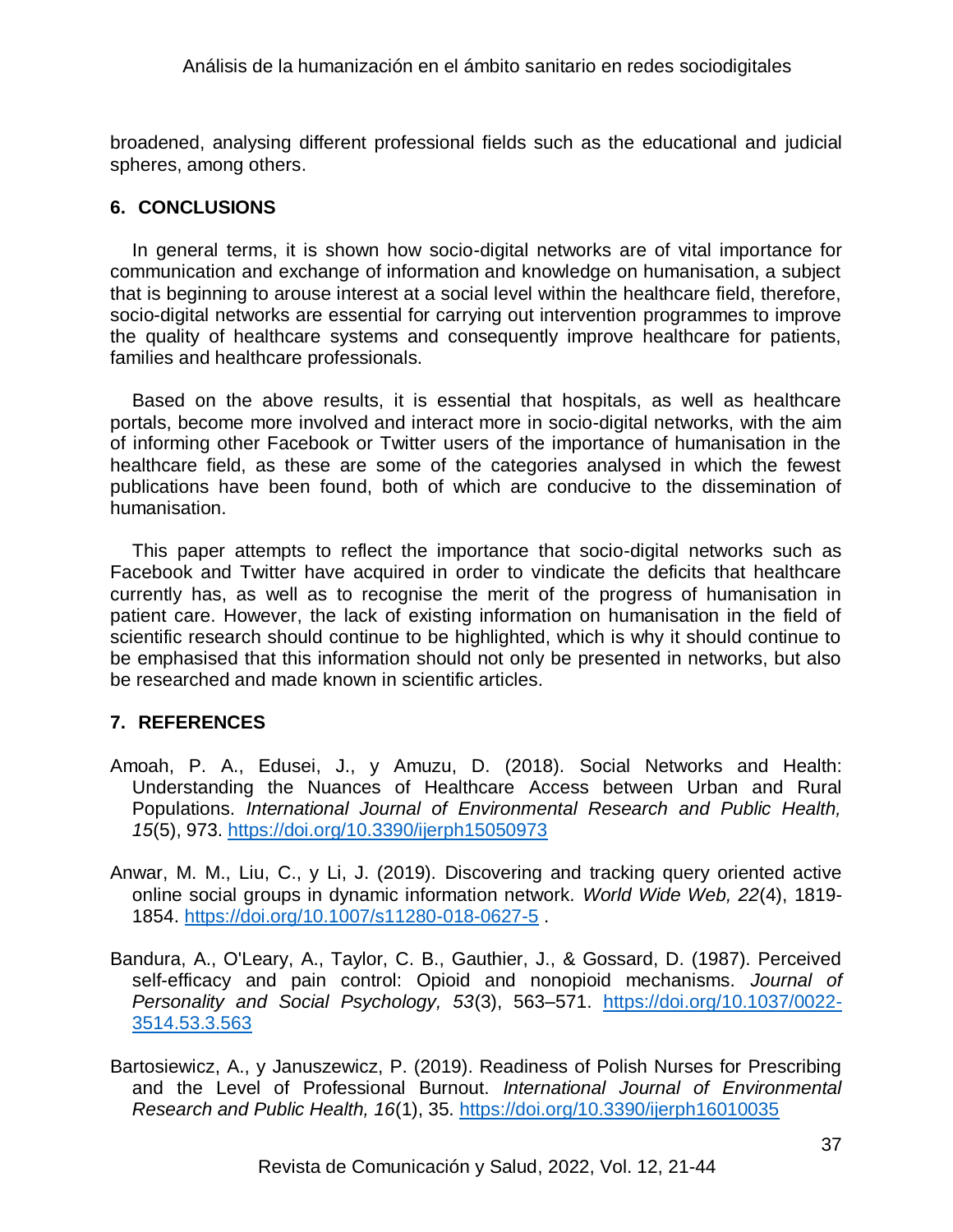broadened, analysing different professional fields such as the educational and judicial spheres, among others.

## **6. CONCLUSIONS**

In general terms, it is shown how socio-digital networks are of vital importance for communication and exchange of information and knowledge on humanisation, a subject that is beginning to arouse interest at a social level within the healthcare field, therefore, socio-digital networks are essential for carrying out intervention programmes to improve the quality of healthcare systems and consequently improve healthcare for patients, families and healthcare professionals.

Based on the above results, it is essential that hospitals, as well as healthcare portals, become more involved and interact more in socio-digital networks, with the aim of informing other Facebook or Twitter users of the importance of humanisation in the healthcare field, as these are some of the categories analysed in which the fewest publications have been found, both of which are conducive to the dissemination of humanisation.

This paper attempts to reflect the importance that socio-digital networks such as Facebook and Twitter have acquired in order to vindicate the deficits that healthcare currently has, as well as to recognise the merit of the progress of humanisation in patient care. However, the lack of existing information on humanisation in the field of scientific research should continue to be highlighted, which is why it should continue to be emphasised that this information should not only be presented in networks, but also be researched and made known in scientific articles.

## **7. REFERENCES**

- Amoah, P. A., Edusei, J., y Amuzu, D. (2018). Social Networks and Health: Understanding the Nuances of Healthcare Access between Urban and Rural Populations. *International Journal of Environmental Research and Public Health, 15*(5), 973.<https://doi.org/10.3390/ijerph15050973>
- Anwar, M. M., Liu, C., y Li, J. (2019). Discovering and tracking query oriented active online social groups in dynamic information network. *World Wide Web, 22*(4), 1819- 1854.<https://doi.org/10.1007/s11280-018-0627-5> .
- Bandura, A., O'Leary, A., Taylor, C. B., Gauthier, J., & Gossard, D. (1987). Perceived self-efficacy and pain control: Opioid and nonopioid mechanisms. *Journal of Personality and Social Psychology, 53*(3), 563–571. [https://doi.org/10.1037/0022-](https://doi.org/10.1037/0022-3514.53.3.563) [3514.53.3.563](https://doi.org/10.1037/0022-3514.53.3.563)
- Bartosiewicz, A., y Januszewicz, P. (2019). Readiness of Polish Nurses for Prescribing and the Level of Professional Burnout. *International Journal of Environmental Research and Public Health, 16*(1), 35.<https://doi.org/10.3390/ijerph16010035>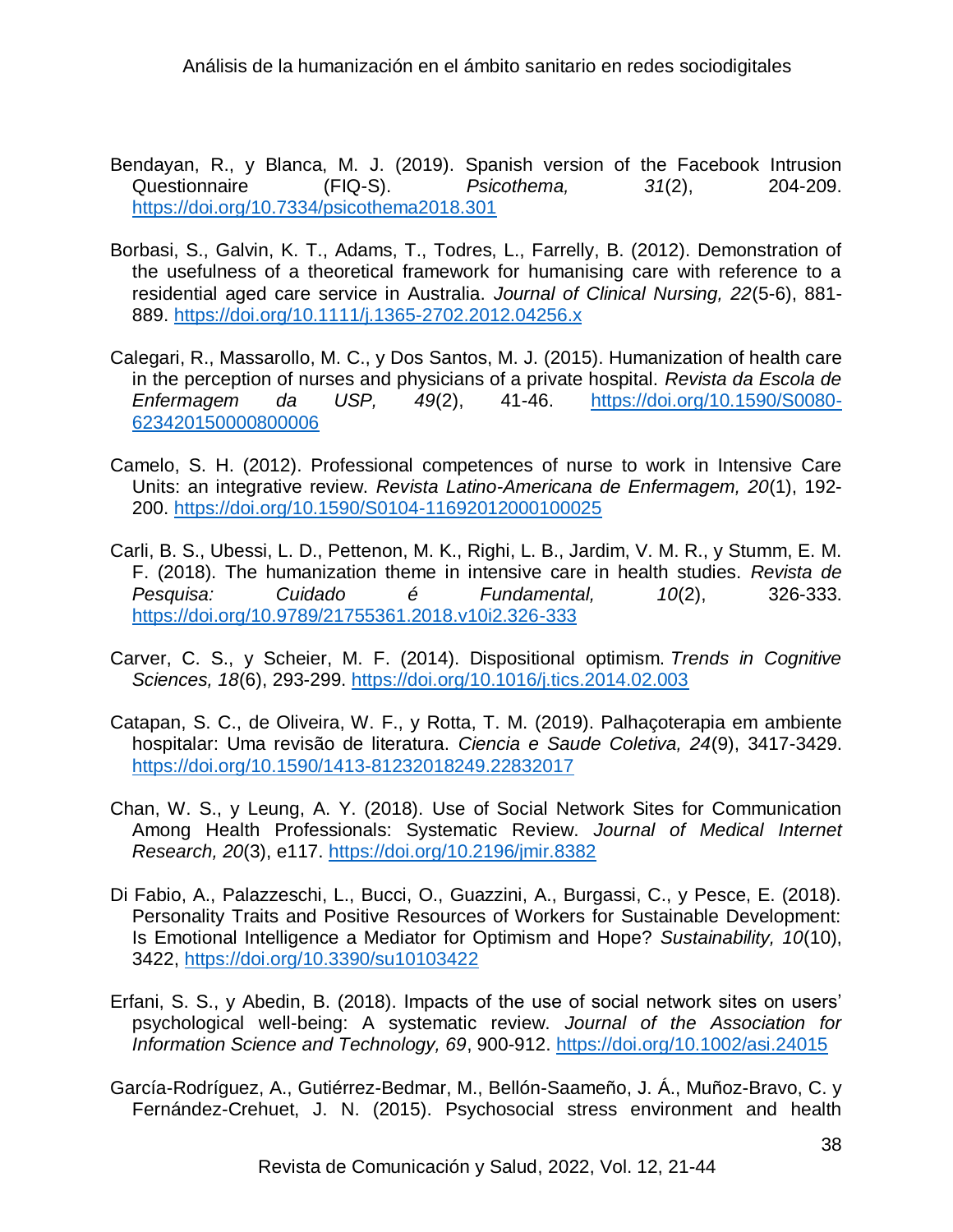- Bendayan, R., y Blanca, M. J. (2019). Spanish version of the Facebook Intrusion Questionnaire (FIQ-S). *Psicothema, 31*(2), 204-209. <https://doi.org/10.7334/psicothema2018.301>
- Borbasi, S., Galvin, K. T., Adams, T., Todres, L., Farrelly, B. (2012). Demonstration of the usefulness of a theoretical framework for humanising care with reference to a residential aged care service in Australia. *Journal of Clinical Nursing, 22*(5-6), 881- 889.<https://doi.org/10.1111/j.1365-2702.2012.04256.x>
- Calegari, R., Massarollo, M. C., y Dos Santos, M. J. (2015). Humanization of health care in the perception of nurses and physicians of a private hospital. *Revista da Escola de Enfermagem da USP, 49*(2), 41-46. [https://doi.org/10.1590/S0080-](https://doi.org/10.1590/S0080-623420150000800006) [623420150000800006](https://doi.org/10.1590/S0080-623420150000800006)
- Camelo, S. H. (2012). Professional competences of nurse to work in Intensive Care Units: an integrative review. *Revista Latino-Americana de Enfermagem, 20*(1), 192- 200.<https://doi.org/10.1590/S0104-11692012000100025>
- Carli, B. S., Ubessi, L. D., Pettenon, M. K., Righi, L. B., Jardim, V. M. R., y Stumm, E. M. F. (2018). The humanization theme in intensive care in health studies. *Revista de Pesquisa: Cuidado é Fundamental, 10*(2), 326-333. <https://doi.org/10.9789/21755361.2018.v10i2.326-333>
- Carver, C. S., y Scheier, M. F. (2014). Dispositional optimism. *Trends in Cognitive Sciences, 18*(6), 293-299.<https://doi.org/10.1016/j.tics.2014.02.003>
- Catapan, S. C., de Oliveira, W. F., y Rotta, T. M. (2019). Palhaçoterapia em ambiente hospitalar: Uma revisão de literatura. *Ciencia e Saude Coletiva, 24*(9), 3417-3429. <https://doi.org/10.1590/1413-81232018249.22832017>
- Chan, W. S., y Leung, A. Y. (2018). Use of Social Network Sites for Communication Among Health Professionals: Systematic Review. *Journal of Medical Internet Research, 20*(3), e117.<https://doi.org/10.2196/jmir.8382>
- Di Fabio, A., Palazzeschi, L., Bucci, O., Guazzini, A., Burgassi, C., y Pesce, E. (2018). Personality Traits and Positive Resources of Workers for Sustainable Development: Is Emotional Intelligence a Mediator for Optimism and Hope? *Sustainability, 10*(10), 3422, <https://doi.org/10.3390/su10103422>
- Erfani, S. S., y Abedin, B. (2018). Impacts of the use of social network sites on users' psychological well-being: A systematic review. *Journal of the Association for Information Science and Technology, 69*, 900-912.<https://doi.org/10.1002/asi.24015>
- García-Rodríguez, A., Gutiérrez-Bedmar, M., Bellón-Saameño, J. Á., Muñoz-Bravo, C. y Fernández-Crehuet, J. N. (2015). Psychosocial stress environment and health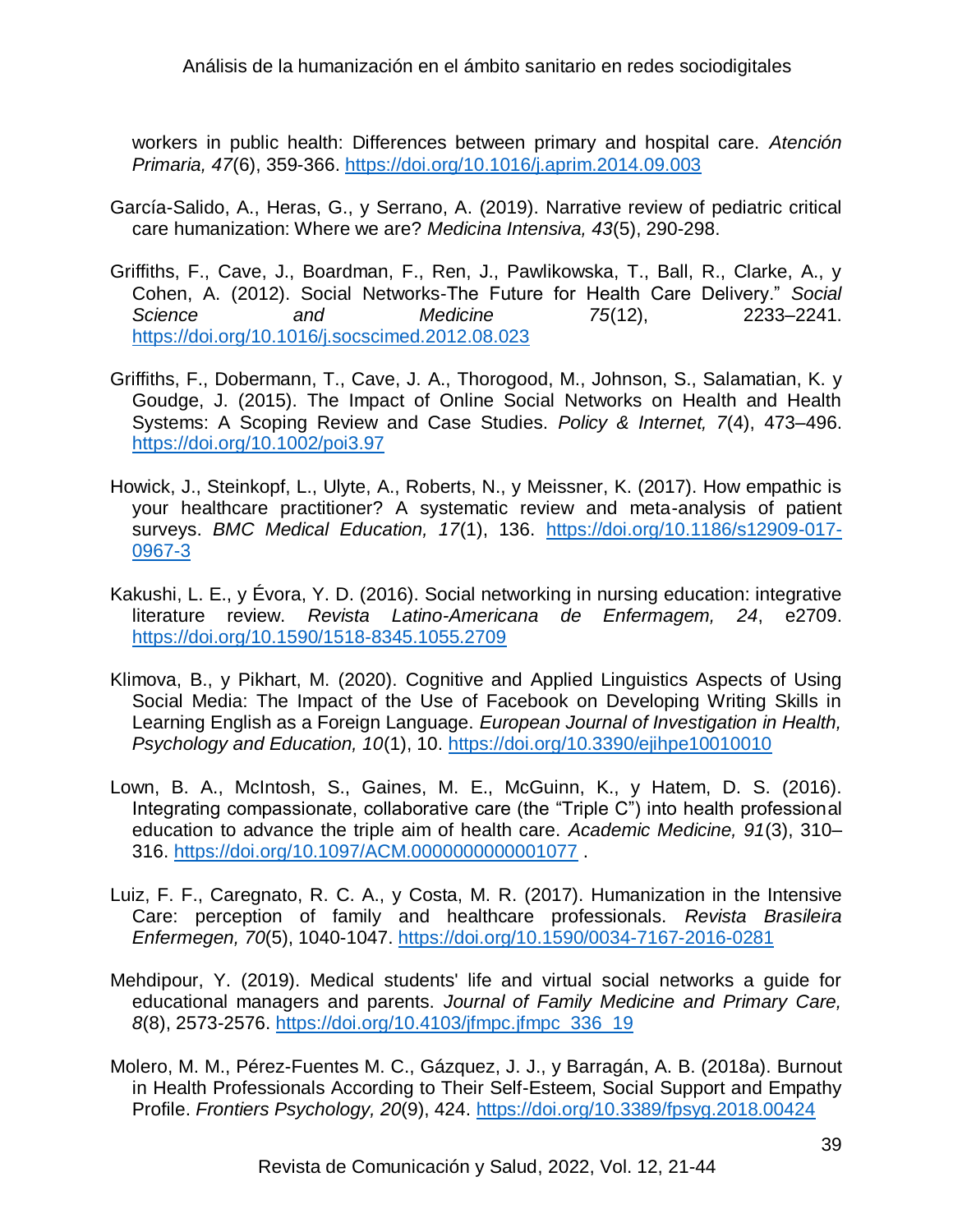workers in public health: Differences between primary and hospital care. *Atención Primaria, 47*(6), 359-366.<https://doi.org/10.1016/j.aprim.2014.09.003>

- García-Salido, A., Heras, G., y Serrano, A. (2019). Narrative review of pediatric critical care humanization: Where we are? *Medicina Intensiva, 43*(5), 290-298.
- Griffiths, F., Cave, J., Boardman, F., Ren, J., Pawlikowska, T., Ball, R., Clarke, A., y Cohen, A. (2012). Social Networks-The Future for Health Care Delivery." *Social Science and Medicine 75*(12), 2233–2241. <https://doi.org/10.1016/j.socscimed.2012.08.023>
- Griffiths, F., Dobermann, T., Cave, J. A., Thorogood, M., Johnson, S., Salamatian, K. y Goudge, J. (2015). The Impact of Online Social Networks on Health and Health Systems: A Scoping Review and Case Studies. *Policy & Internet, 7*(4), 473–496. <https://doi.org/10.1002/poi3.97>
- Howick, J., Steinkopf, L., Ulyte, A., Roberts, N., y Meissner, K. (2017). How empathic is your healthcare practitioner? A systematic review and meta-analysis of patient surveys. *BMC Medical Education, 17*(1), 136. [https://doi.org/10.1186/s12909-017-](https://doi.org/10.1186/s12909-017-0967-3) [0967-3](https://doi.org/10.1186/s12909-017-0967-3)
- Kakushi, L. E., y Évora, Y. D. (2016). Social networking in nursing education: integrative literature review. *Revista Latino-Americana de Enfermagem, 24*, e2709. <https://doi.org/10.1590/1518-8345.1055.2709>
- Klimova, B., y Pikhart, M. (2020). Cognitive and Applied Linguistics Aspects of Using Social Media: The Impact of the Use of Facebook on Developing Writing Skills in Learning English as a Foreign Language. *European Journal of Investigation in Health, Psychology and Education, 10*(1), 10.<https://doi.org/10.3390/ejihpe10010010>
- Lown, B. A., McIntosh, S., Gaines, M. E., McGuinn, K., y Hatem, D. S. (2016). Integrating compassionate, collaborative care (the "Triple C") into health professional education to advance the triple aim of health care. *Academic Medicine, 91*(3), 310– 316.<https://doi.org/10.1097/ACM.0000000000001077> .
- Luiz, F. F., Caregnato, R. C. A., y Costa, M. R. (2017). Humanization in the Intensive Care: perception of family and healthcare professionals. *Revista Brasileira Enfermegen, 70*(5), 1040-1047.<https://doi.org/10.1590/0034-7167-2016-0281>
- Mehdipour, Y. (2019). Medical students' life and virtual social networks a guide for educational managers and parents. *Journal of Family Medicine and Primary Care, 8*(8), 2573-2576. [https://doi.org/10.4103/jfmpc.jfmpc\\_336\\_19](https://doi.org/10.4103/jfmpc.jfmpc_336_19)
- Molero, M. M., Pérez-Fuentes M. C., Gázquez, J. J., y Barragán, A. B. (2018a). Burnout in Health Professionals According to Their Self-Esteem, Social Support and Empathy Profile. *Frontiers Psychology, 20*(9), 424.<https://doi.org/10.3389/fpsyg.2018.00424>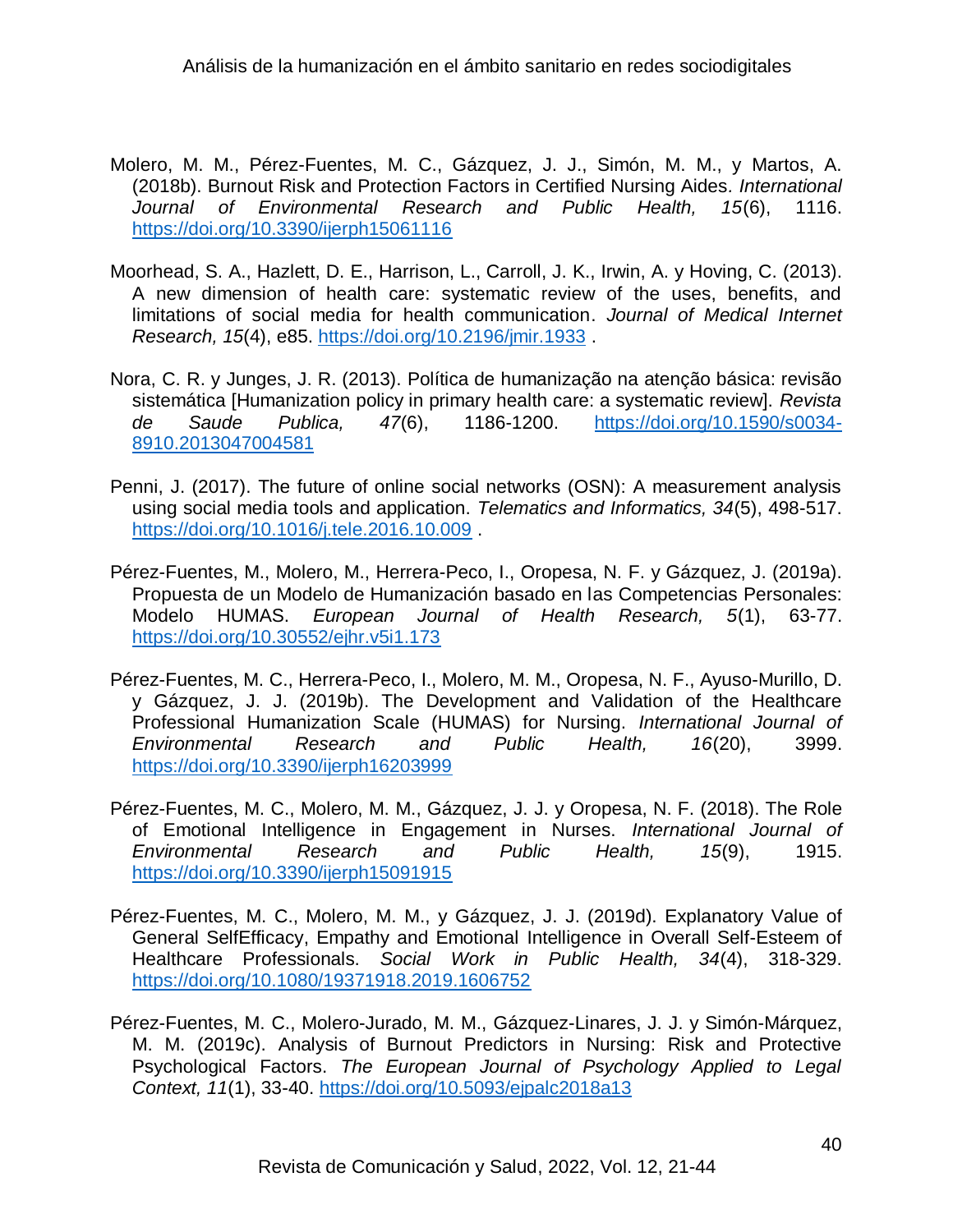- Molero, M. M., Pérez-Fuentes, M. C., Gázquez, J. J., Simón, M. M., y Martos, A. (2018b). Burnout Risk and Protection Factors in Certified Nursing Aides*. International Journal of Environmental Research and Public Health, 15*(6), 1116. <https://doi.org/10.3390/ijerph15061116>
- Moorhead, S. A., Hazlett, D. E., Harrison, L., Carroll, J. K., Irwin, A. y Hoving, C. (2013). A new dimension of health care: systematic review of the uses, benefits, and limitations of social media for health communication. *Journal of Medical Internet Research, 15*(4), e85.<https://doi.org/10.2196/jmir.1933> .
- Nora, C. R. y Junges, J. R. (2013). Política de humanização na atenção básica: revisão sistemática [Humanization policy in primary health care: a systematic review]. *Revista de Saude Publica, 47*(6), 1186-1200. [https://doi.org/10.1590/s0034-](https://doi.org/10.1590/s0034-8910.2013047004581) [8910.2013047004581](https://doi.org/10.1590/s0034-8910.2013047004581)
- Penni, J. (2017). The future of online social networks (OSN): A measurement analysis using social media tools and application. *Telematics and Informatics, 34*(5), 498-517. <https://doi.org/10.1016/j.tele.2016.10.009> .
- Pérez-Fuentes, M., Molero, M., Herrera-Peco, I., Oropesa, N. F. y Gázquez, J. (2019a). Propuesta de un Modelo de Humanización basado en las Competencias Personales: Modelo HUMAS. *European Journal of Health Research, 5*(1), 63-77. <https://doi.org/10.30552/ejhr.v5i1.173>
- Pérez-Fuentes, M. C., Herrera-Peco, I., Molero, M. M., Oropesa, N. F., Ayuso-Murillo, D. y Gázquez, J. J. (2019b). The Development and Validation of the Healthcare Professional Humanization Scale (HUMAS) for Nursing. *International Journal of Environmental Research and Public Health, 16*(20), 3999. <https://doi.org/10.3390/ijerph16203999>
- Pérez-Fuentes, M. C., Molero, M. M., Gázquez, J. J. y Oropesa, N. F. (2018). The Role of Emotional Intelligence in Engagement in Nurses. *International Journal of Environmental Research and Public Health, 15*(9), 1915. <https://doi.org/10.3390/ijerph15091915>
- Pérez-Fuentes, M. C., Molero, M. M., y Gázquez, J. J. (2019d). Explanatory Value of General SelfEfficacy, Empathy and Emotional Intelligence in Overall Self-Esteem of Healthcare Professionals. *Social Work in Public Health, 34*(4), 318-329. <https://doi.org/10.1080/19371918.2019.1606752>
- Pérez-Fuentes, M. C., Molero-Jurado, M. M., Gázquez-Linares, J. J. y Simón-Márquez, M. M. (2019c). Analysis of Burnout Predictors in Nursing: Risk and Protective Psychological Factors. *The European Journal of Psychology Applied to Legal Context, 11*(1), 33-40.<https://doi.org/10.5093/ejpalc2018a13>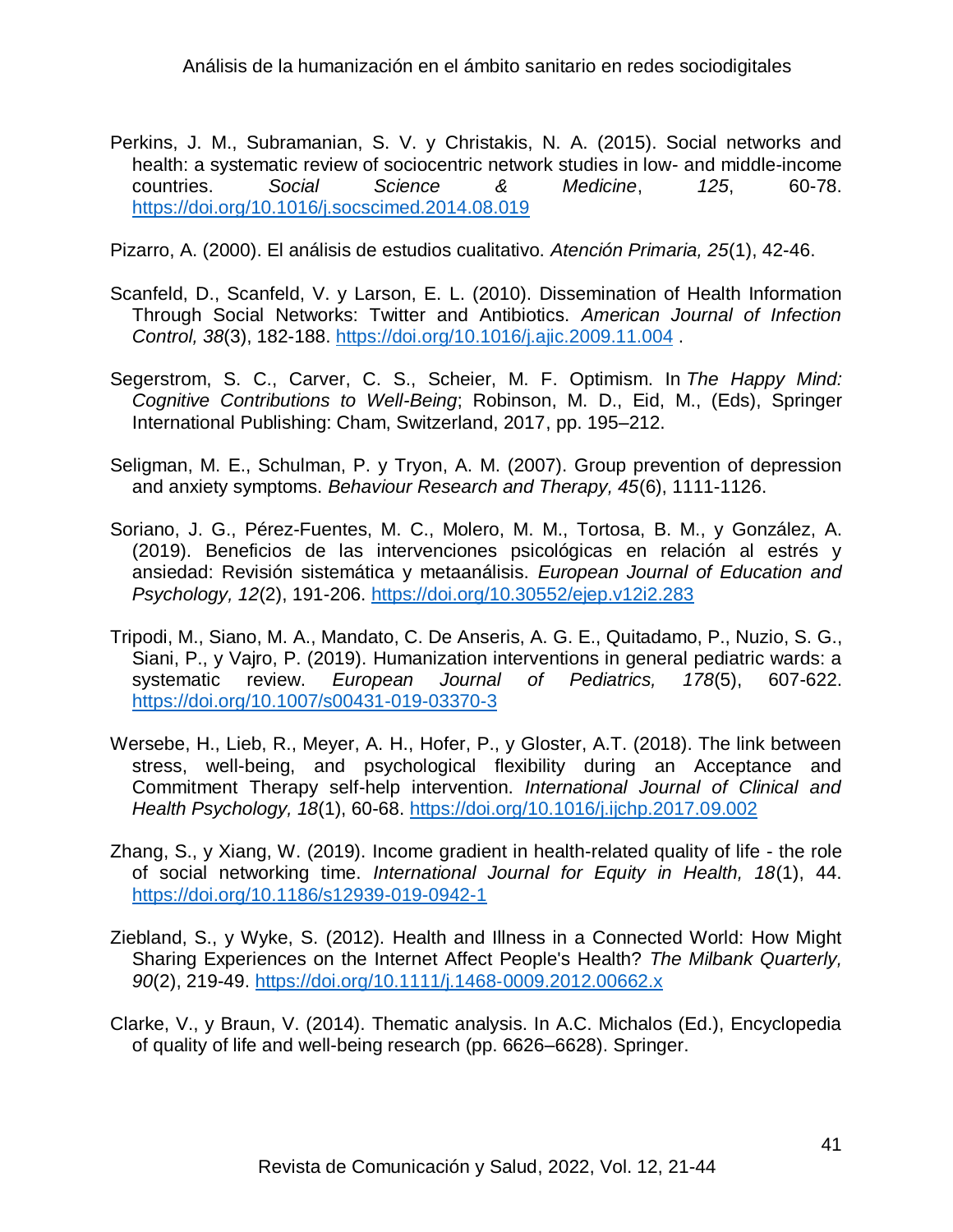Perkins, J. M., Subramanian, S. V. y Christakis, N. A. (2015). Social networks and health: a systematic review of sociocentric network studies in low- and middle-income countries. *Social Science & Medicine*, *125*, 60-78. <https://doi.org/10.1016/j.socscimed.2014.08.019>

Pizarro, A. (2000). El análisis de estudios cualitativo. *Atención Primaria, 25*(1), 42-46.

- Scanfeld, D., Scanfeld, V. y Larson, E. L. (2010). Dissemination of Health Information Through Social Networks: Twitter and Antibiotics. *American Journal of Infection Control, 38*(3), 182-188.<https://doi.org/10.1016/j.ajic.2009.11.004> .
- Segerstrom, S. C., Carver, C. S., Scheier, M. F. Optimism. In *The Happy Mind: Cognitive Contributions to Well-Being*; Robinson, M. D., Eid, M., (Eds), Springer International Publishing: Cham, Switzerland, 2017, pp. 195–212.
- Seligman, M. E., Schulman, P. y Tryon, A. M. (2007). Group prevention of depression and anxiety symptoms. *Behaviour Research and Therapy, 45*(6), 1111-1126.
- Soriano, J. G., Pérez-Fuentes, M. C., Molero, M. M., Tortosa, B. M., y González, A. (2019). Beneficios de las intervenciones psicológicas en relación al estrés y ansiedad: Revisión sistemática y metaanálisis. *European Journal of Education and Psychology, 12*(2), 191-206.<https://doi.org/10.30552/ejep.v12i2.283>
- Tripodi, M., Siano, M. A., Mandato, C. De Anseris, A. G. E., Quitadamo, P., Nuzio, S. G., Siani, P., y Vajro, P. (2019). Humanization interventions in general pediatric wards: a systematic review. *European Journal of Pediatrics, 178*(5), 607-622. <https://doi.org/10.1007/s00431-019-03370-3>
- Wersebe, H., Lieb, R., Meyer, A. H., Hofer, P., y Gloster, A.T. (2018). The link between stress, well-being, and psychological flexibility during an Acceptance and Commitment Therapy self-help intervention. *International Journal of Clinical and Health Psychology, 18*(1), 60-68.<https://doi.org/10.1016/j.ijchp.2017.09.002>
- Zhang, S., y Xiang, W. (2019). Income gradient in health-related quality of life the role of social networking time. *International Journal for Equity in Health, 18*(1), 44. <https://doi.org/10.1186/s12939-019-0942-1>
- Ziebland, S., y Wyke, S. (2012). Health and Illness in a Connected World: How Might Sharing Experiences on the Internet Affect People's Health? *The Milbank Quarterly, 90*(2), 219-49. [https://doi.org/10.1111/j.1468](https://doi.org/10.1111/j.1468‐0009.2012.00662.x)‐0009.2012.00662.x
- Clarke, V., y Braun, V. (2014). Thematic analysis. In A.C. Michalos (Ed.), Encyclopedia of quality of life and well-being research (pp. 6626–6628). Springer.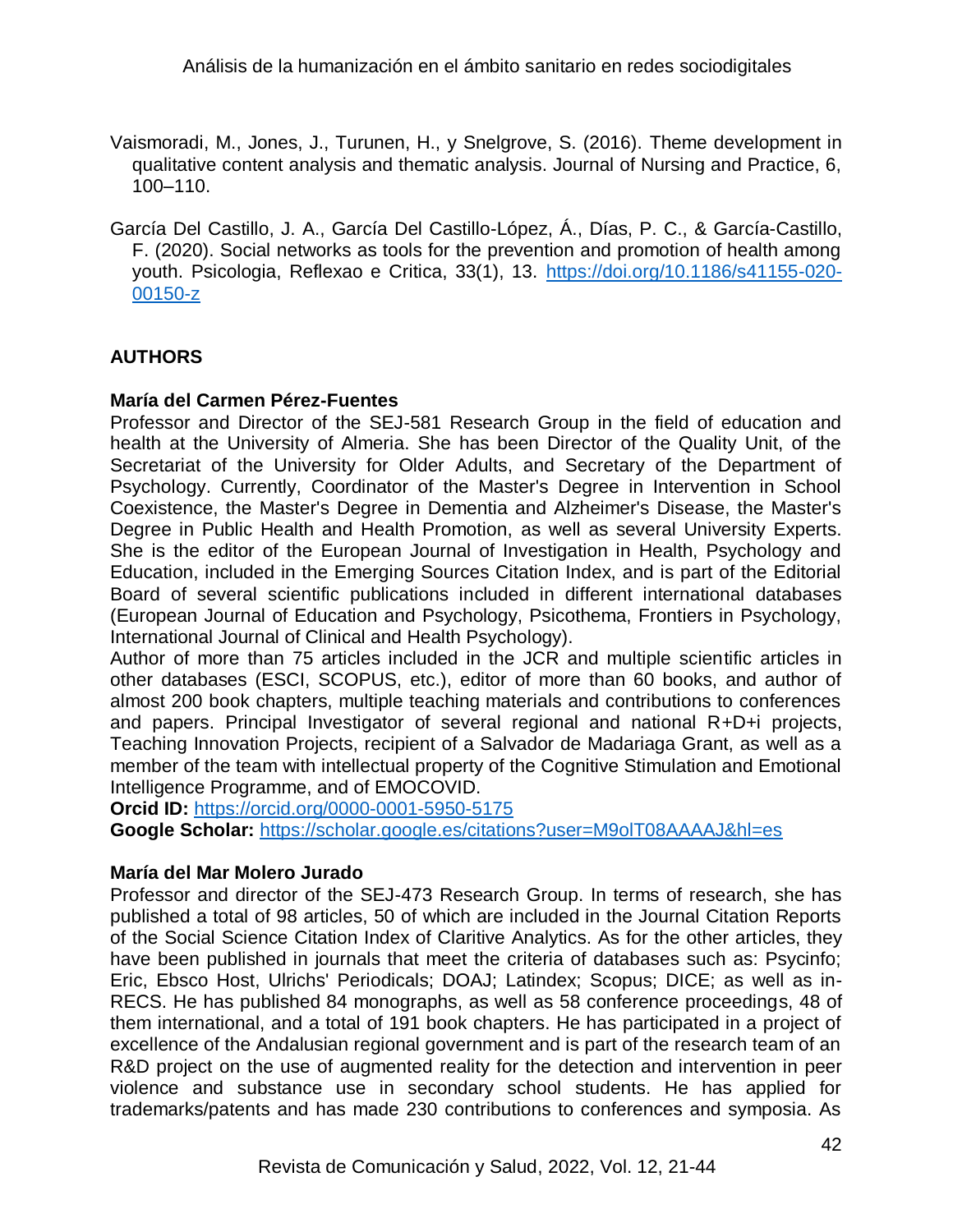- Vaismoradi, M., Jones, J., Turunen, H., y Snelgrove, S. (2016). Theme development in qualitative content analysis and thematic analysis. Journal of Nursing and Practice, 6, 100–110.
- García Del Castillo, J. A., García Del Castillo-López, Á., Días, P. C., & García-Castillo, F. (2020). Social networks as tools for the prevention and promotion of health among youth. Psicologia, Reflexao e Critica, 33(1), 13. [https://doi.org/10.1186/s41155-020-](https://doi.org/10.1186/s41155-020-00150-z) [00150-z](https://doi.org/10.1186/s41155-020-00150-z)

## **AUTHORS**

## **María del Carmen Pérez-Fuentes**

Professor and Director of the SEJ-581 Research Group in the field of education and health at the University of Almeria. She has been Director of the Quality Unit, of the Secretariat of the University for Older Adults, and Secretary of the Department of Psychology. Currently, Coordinator of the Master's Degree in Intervention in School Coexistence, the Master's Degree in Dementia and Alzheimer's Disease, the Master's Degree in Public Health and Health Promotion, as well as several University Experts. She is the editor of the European Journal of Investigation in Health, Psychology and Education, included in the Emerging Sources Citation Index, and is part of the Editorial Board of several scientific publications included in different international databases (European Journal of Education and Psychology, Psicothema, Frontiers in Psychology, International Journal of Clinical and Health Psychology).

Author of more than 75 articles included in the JCR and multiple scientific articles in other databases (ESCI, SCOPUS, etc.), editor of more than 60 books, and author of almost 200 book chapters, multiple teaching materials and contributions to conferences and papers. Principal Investigator of several regional and national R+D+i projects, Teaching Innovation Projects, recipient of a Salvador de Madariaga Grant, as well as a member of the team with intellectual property of the Cognitive Stimulation and Emotional Intelligence Programme, and of EMOCOVID.

**Orcid ID:** <https://orcid.org/0000-0001-5950-5175>

**Google Scholar:** <https://scholar.google.es/citations?user=M9olT08AAAAJ&hl=es>

### **María del Mar Molero Jurado**

Professor and director of the SEJ-473 Research Group. In terms of research, she has published a total of 98 articles, 50 of which are included in the Journal Citation Reports of the Social Science Citation Index of Claritive Analytics. As for the other articles, they have been published in journals that meet the criteria of databases such as: Psycinfo; Eric, Ebsco Host, Ulrichs' Periodicals; DOAJ; Latindex; Scopus; DICE; as well as in-RECS. He has published 84 monographs, as well as 58 conference proceedings, 48 of them international, and a total of 191 book chapters. He has participated in a project of excellence of the Andalusian regional government and is part of the research team of an R&D project on the use of augmented reality for the detection and intervention in peer violence and substance use in secondary school students. He has applied for trademarks/patents and has made 230 contributions to conferences and symposia. As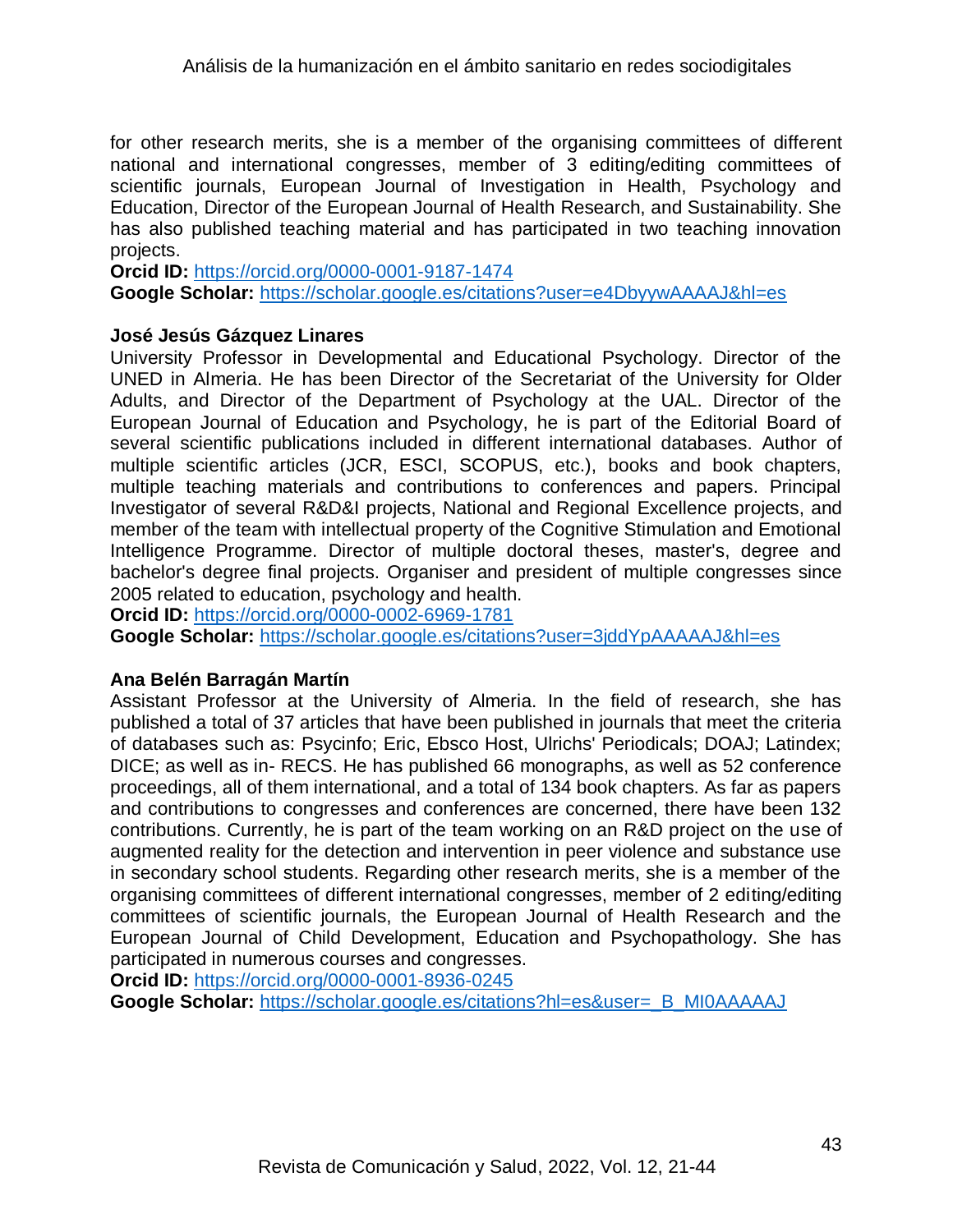for other research merits, she is a member of the organising committees of different national and international congresses, member of 3 editing/editing committees of scientific journals, European Journal of Investigation in Health, Psychology and Education, Director of the European Journal of Health Research, and Sustainability. She has also published teaching material and has participated in two teaching innovation projects.

**Orcid ID:** <https://orcid.org/0000-0001-9187-1474> **Google Scholar:** <https://scholar.google.es/citations?user=e4DbyywAAAAJ&hl=es>

#### **José Jesús Gázquez Linares**

University Professor in Developmental and Educational Psychology. Director of the UNED in Almeria. He has been Director of the Secretariat of the University for Older Adults, and Director of the Department of Psychology at the UAL. Director of the European Journal of Education and Psychology, he is part of the Editorial Board of several scientific publications included in different international databases. Author of multiple scientific articles (JCR, ESCI, SCOPUS, etc.), books and book chapters, multiple teaching materials and contributions to conferences and papers. Principal Investigator of several R&D&I projects, National and Regional Excellence projects, and member of the team with intellectual property of the Cognitive Stimulation and Emotional Intelligence Programme. Director of multiple doctoral theses, master's, degree and bachelor's degree final projects. Organiser and president of multiple congresses since 2005 related to education, psychology and health.

**Orcid ID:** <https://orcid.org/0000-0002-6969-1781>

**Google Scholar:** <https://scholar.google.es/citations?user=3jddYpAAAAAJ&hl=es>

### **Ana Belén Barragán Martín**

Assistant Professor at the University of Almeria. In the field of research, she has published a total of 37 articles that have been published in journals that meet the criteria of databases such as: Psycinfo; Eric, Ebsco Host, Ulrichs' Periodicals; DOAJ; Latindex; DICE; as well as in- RECS. He has published 66 monographs, as well as 52 conference proceedings, all of them international, and a total of 134 book chapters. As far as papers and contributions to congresses and conferences are concerned, there have been 132 contributions. Currently, he is part of the team working on an R&D project on the use of augmented reality for the detection and intervention in peer violence and substance use in secondary school students. Regarding other research merits, she is a member of the organising committees of different international congresses, member of 2 editing/editing committees of scientific journals, the European Journal of Health Research and the European Journal of Child Development, Education and Psychopathology. She has participated in numerous courses and congresses.

**Orcid ID:** <https://orcid.org/0000-0001-8936-0245>

**Google Scholar:** https://scholar.google.es/citations?hl=es&user= B\_MI0AAAAAJ